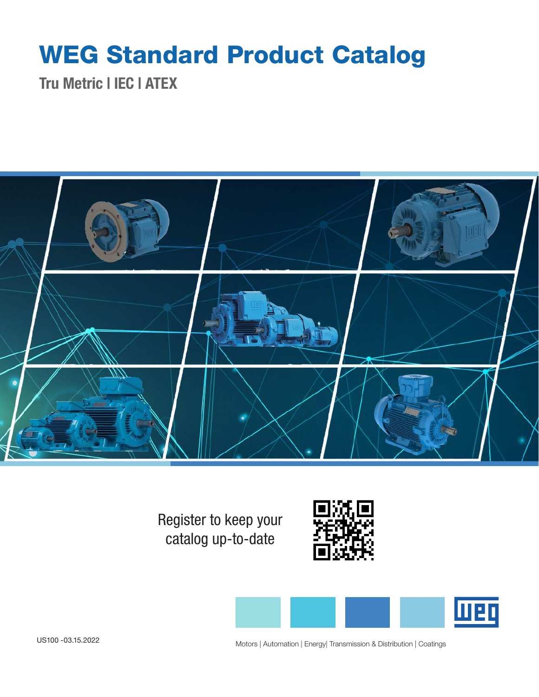# WEG Standard Product Catalog

Tru Metric | IEC | ATEX



Register to keep your catalog up-to-date





Motors | Automation | Energy| Transmission & Distribution | Coatings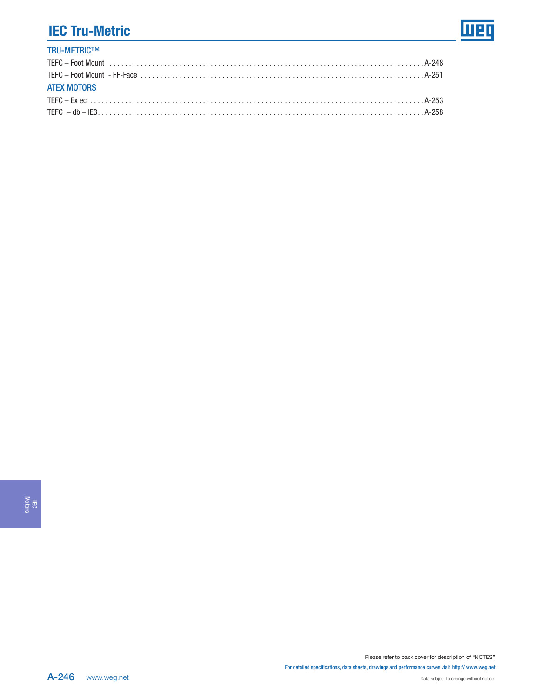### TRU-METRIC™ [TEFC – Foot Mount . . . . . . . . . . . . . . . . . . . . . . . . . . . . . . . . . . . . . . . . . . . . . . . . . . . . . . . . . . . . . . . . . . . . . . . . . . . . . . . . A-248](#page-3-0) [TEFC – Foot Mount - FF-Face . . . . . . . . . . . . . . . . . . . . . . . . . . . . . . . . . . . . . . . . . . . . . . . . . . . . . . . . . . . . . . . . . . . . . . . . A-251](#page-6-0) ATEX MOTORS [TEFC – Ex ec . . . . . . . . . . . . . . . . . . . . . . . . . . . . . . . . . . . . . . . . . . . . . . . . . . . . . . . . . . . . . . . . . . . . . . . . . . . . . . . . . . . . . A-253](#page-8-0) [TEFC – db – IE3 . . . . . . . . . . . . . . . . . . . . . . . . . . . . . . . . . . . . . . . . . . . . . . . . . . . . . . . . . . . . . . . . . . . . . . . . . . . . . . . . . . . A-258](#page-13-0)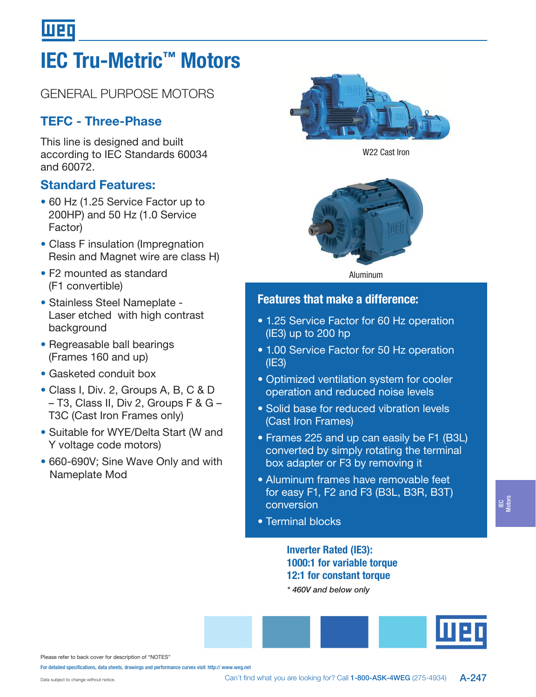# IEC Tru-Metric™ Motors

# GENERAL PURPOSE MOTORS

# TEFC - Three-Phase

This line is designed and built according to IEC Standards 60034 and 60072.

### Standard Features:

- 60 Hz (1.25 Service Factor up to 200HP) and 50 Hz (1.0 Service Factor)
- Class F insulation (Impregnation Resin and Magnet wire are class H)
- F2 mounted as standard (F1 convertible)
- Stainless Steel Nameplate Laser etched with high contrast background
- Regreasable ball bearings (Frames 160 and up)
- Gasketed conduit box
- Class I, Div. 2, Groups A, B, C & D – T3, Class II, Div 2, Groups F & G – T3C (Cast Iron Frames only)
- Suitable for WYE/Delta Start (W and Y voltage code motors)
- 660-690V; Sine Wave Only and with Nameplate Mod



W22 Cast Iron



Aluminum

### Features that make a difference:

- 1.25 Service Factor for 60 Hz operation (IE3) up to 200 hp
- 1.00 Service Factor for 50 Hz operation (IE3)
- Optimized ventilation system for cooler operation and reduced noise levels
- Solid base for reduced vibration levels (Cast Iron Frames)
- Frames 225 and up can easily be F1 (B3L) converted by simply rotating the terminal box adapter or F3 by removing it
- Aluminum frames have removable feet for easy F1, F2 and F3 (B3L, B3R, B3T) conversion
- Terminal blocks

### Inverter Rated (IE3): 1000:1 for variable torque 12:1 for constant torque

\* 460V and below only



Please refer to back cover for description of "NOTES"

For detailed specifications, data sheets, drawings and performance curves visit http:// www.weg.net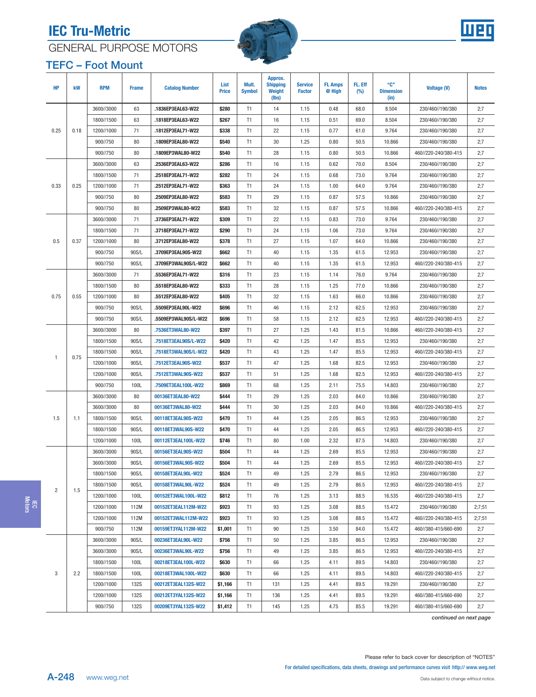<span id="page-3-0"></span>





### TEFC – Foot Mount

| <b>HP</b>      | kW       | <b>RPM</b>  | <b>Frame</b>        | <b>Catalog Number</b> | List<br><b>Price</b> | Mult.<br><b>Symbol</b> | Approx.<br><b>Shipping</b><br>Weight<br>(lbs) | <b>Service</b><br><b>Factor</b> | <b>FL Amps</b><br>@ High | FL. Eff<br>$(\%)$ | "C"<br><b>Dimension</b><br>(in) | <b>Voltage (V)</b>   | <b>Notes</b> |
|----------------|----------|-------------|---------------------|-----------------------|----------------------|------------------------|-----------------------------------------------|---------------------------------|--------------------------|-------------------|---------------------------------|----------------------|--------------|
|                |          | 3600//3000  | 63                  | .1836EP3EAL63-W22     | \$280                | T1                     | 14                                            | 1.15                            | 0.48                     | 68.0              | 8.504                           | 230/460//190/380     | 2:7          |
|                |          | 1800//1500  | 63                  | .1818EP3EAL63-W22     | \$267                | T1                     | 16                                            | 1.15                            | 0.51                     | 69.0              | 8.504                           | 230/460//190/380     | 2;7          |
| 0.25           | 0.18     | 1200//1000  | 71                  | .1812EP3EAL71-W22     | \$338                | T <sub>1</sub>         | 22                                            | 1.15                            | 0.77                     | 61.0              | 9.764                           | 230/460//190/380     | 2;7          |
|                |          | 900//750    | 80                  | .1809EP3EAL80-W22     | \$540                | T <sub>1</sub>         | 30                                            | 1.25                            | 0.80                     | 50.5              | 10.866                          | 230/460//190/380     | 2;7          |
|                |          | 900//750    | 80                  | .1809EP3WAL80-W22     | \$540                | T <sub>1</sub>         | 28                                            | 1.15                            | 0.80                     | 50.5              | 10.866                          | 460//220-240/380-415 | 2;7          |
|                |          | 3600//3000  | 63                  | .2536EP3EAL63-W22     | \$286                | T <sub>1</sub>         | 16                                            | 1.15                            | 0.62                     | 70.0              | 8.504                           | 230/460//190/380     | 2;7          |
|                |          | 1800//1500  | 71                  | .2518EP3EAL71-W22     | \$282                | T <sub>1</sub>         | 24                                            | 1.15                            | 0.68                     | 73.0              | 9.764                           | 230/460//190/380     | 2;7          |
| 0.33           | 0.25     | 1200//1000  | 71                  | .2512EP3EAL71-W22     | \$363                | T <sub>1</sub>         | 24                                            | 1.15                            | 1.00                     | 64.0              | 9.764                           | 230/460//190/380     | 2;7          |
|                |          | 900//750    | 80                  | .2509EP3EAL80-W22     | \$583                | T <sub>1</sub>         | 29                                            | 1.15                            | 0.87                     | 57.5              | 10.866                          | 230/460//190/380     | 2;7          |
|                |          | 900//750    | 80                  | .2509EP3WAL80-W22     | \$583                | T <sub>1</sub>         | 32                                            | 1.15                            | 0.87                     | 57.5              | 10.866                          | 460//220-240/380-415 | 2;7          |
|                |          | 3600//3000  | 71                  | .3736EP3EAL71-W22     | \$309                | T <sub>1</sub>         | 22                                            | 1.15                            | 0.83                     | 73.0              | 9.764                           | 230/460//190/380     | 2;7          |
|                |          | 1800//1500  | 71                  | .3718EP3EAL71-W22     | \$290                | T <sub>1</sub>         | 24                                            | 1.15                            | 1.06                     | 73.0              | 9.764                           | 230/460//190/380     | 2;7          |
| 0.5            | 0.37     | 1200//1000  | 80                  | .3712EP3EAL80-W22     | \$378                | T <sub>1</sub>         | 27                                            | 1.15                            | 1.07                     | 64.0              | 10.866                          | 230/460//190/380     | 2;7          |
|                |          | 900//750    | 90S/L               | .3709EP3EAL90S-W22    | \$662                | T <sub>1</sub>         | 40                                            | 1.15                            | 1.35                     | 61.5              | 12.953                          | 230/460//190/380     | 2;7          |
|                |          | 900//750    | 90S/L               | .3709EP3WAL90S/L-W22  | \$662                | T <sub>1</sub>         | 40                                            | 1.15                            | 1.35                     | 61.5              | 12.953                          | 460//220-240/380-415 | 2;7          |
|                |          | 3600//3000  | 71                  | .5536EP3EAL71-W22     | \$316                | T <sub>1</sub>         | 23                                            | 1.15                            | 1.14                     | 76.0              | 9.764                           | 230/460//190/380     | 2;7          |
|                |          | 1800//1500  | 80                  | .5518EP3EAL80-W22     | \$333                | T1                     | 28                                            | 1.15                            | 1.25                     | 77.0              | 10.866                          | 230/460//190/380     | 2;7          |
| 0.75           | 0.55     | 1200//1000  | 80                  | .5512EP3EAL80-W22     | \$405                | T <sub>1</sub>         | 32                                            | 1.15                            | 1.63                     | 66.0              | 10.866                          | 230/460//190/380     | 2;7          |
|                |          | 900//750    | 90S/L               | .5509EP3EAL90L-W22    | \$696                | T <sub>1</sub>         | 46                                            | 1.15                            | 2.12                     | 62.5              | 12.953                          | 230/460//190/380     | 2;7          |
|                |          | 900//750    | 90S/L               | .5509EP3WAL90S/L-W22  | \$696                | T <sub>1</sub>         | 58                                            | 1.15                            | 2.12                     | 62.5              | 12.953                          | 460//220-240/380-415 | 2;7          |
|                |          | 3600//3000  | 80                  | .7536ET3WAL80-W22     | \$397                | T1                     | 27                                            | 1.25                            | 1.43                     | 81.5              | 10.866                          | 460//220-240/380-415 | 2:7          |
|                |          | 1800//1500  | 90S/L               | .7518ET3EAL90S/L-W22  | \$420                | T1                     | 42                                            | 1.25                            | 1.47                     | 85.5              | 12.953                          | 230/460//190/380     | 2;7          |
| $\overline{1}$ | 0.75     | 1800//1500  | 90S/L               | .7518ET3WAL90S/L-W22  | \$420                | T1                     | 43                                            | 1.25                            | 1.47                     | 85.5              | 12.953                          | 460//220-240/380-415 | 2;7          |
|                |          | 1200//1000  | 90S/L               | .7512ET3EAL90S-W22    | \$537                | T <sub>1</sub>         | 47                                            | 1.25                            | 1.68                     | 82.5              | 12.953                          | 230/460//190/380     | 2;7          |
|                |          | 1200//1000  | 90S/L               | .7512ET3WAL90S-W22    | \$537                | T <sub>1</sub>         | 51                                            | 1.25                            | 1.68                     | 82.5              | 12.953                          | 460//220-240/380-415 | 2;7          |
|                |          | 900//750    | 100L                | .7509ET3EAL100L-W22   | \$869                | T <sub>1</sub>         | 68                                            | 1.25                            | 2.11                     | 75.5              | 14.803                          | 230/460//190/380     | 2;7          |
|                |          | 3600//3000  | 80                  | 00136ET3EAL80-W22     | \$444                | T <sub>1</sub>         | 29                                            | 1.25                            | 2.03                     | 84.0              | 10.866                          | 230/460//190/380     | 2;7          |
|                |          | 3600//3000  | 80                  | 00136ET3WAL80-W22     | \$444                | T1                     | 30                                            | 1.25                            | 2.03                     | 84.0              | 10.866                          | 460//220-240/380-415 | 2;7          |
| 1.5            | 1.1      | 1800//1500  | 90S/L               | 00118ET3EAL90S-W22    | \$470                | T <sub>1</sub>         | 44                                            | 1.25                            | 2.05                     | 86.5              | 12.953                          | 230/460//190/380     | 2;7          |
|                |          | 1800//1500  | 90S/L               | 00118ET3WAL90S-W22    | \$470                | T <sub>1</sub>         | 44                                            | 1.25                            | 2.05                     | 86.5              | 12.953                          | 460//220-240/380-415 | 2;7          |
|                |          | 1200//1000  | 100L                | 00112ET3EAL100L-W22   | \$746                | T1                     | 80                                            | 1.00                            | 2.32                     | 87.5              | 14.803                          | 230/460//190/380     | 2;7          |
|                |          | 3600//3000  | 90S/L               | 00156ET3EAL90S-W22    | \$504                | T1                     | 44                                            | 1.25                            | 2.69                     | 85.5              | 12.953                          | 230/460//190/380     | 2;7          |
|                |          | 3600//3000  | 90S/L               | 00156ET3WAL90S-W22    | \$504                | T1                     | 44                                            | 1.25                            | 2.69                     | 85.5              | 12.953                          | 460//220-240/380-415 | 2;7          |
|                |          | 1800//1500  | 90S/L               | 00158ET3EAL90L-W22    | \$524                | T <sub>1</sub>         | 49                                            | 1.25                            | 2.79                     | 86.5              | 12.953                          | 230/460//190/380     | 2;7          |
| $\overline{2}$ | 1.5      | 1800//1500  | 90S/L               | 00158ET3WAL90L-W22    | \$524                | T1                     | 49                                            | 1.25                            | 2.79                     | 86.5              | 12.953                          | 460//220-240/380-415 | 2;7          |
|                |          | 1200//1000  | 100L                | 00152ET3WAL100L-W22   | \$812                | T1                     | 76                                            | 1.25                            | 3.13                     | 88.5              | 16.535                          | 460//220-240/380-415 | 2,7          |
|                |          | 1200//1000  | 112M                | 00152ET3EAL112M-W22   | \$923                | T1                     | 93                                            | 1.25                            | 3.08                     | 88.5              | 15.472                          | 230/460//190/380     | 2;7;51       |
|                |          | 1200//1000  | 112M                | 00152ET3WAL112M-W22   | \$923                | T1                     | 93                                            | 1.25                            | 3.08                     | 88.5              | 15.472                          | 460//220-240/380-415 | 2;7;51       |
|                |          | 900//750    | 112M                | 00159ET3YAL112M-W22   | \$1,001              | T1                     | 90                                            | 1.25                            | 3.50                     | 84.0              | 15.472                          | 460//380-415/660-690 | 2;7          |
|                |          | 3600//3000  | 90S/L               | 00236ET3EAL90L-W22    | \$756                | T1                     | 50                                            | 1.25                            | 3.85                     | 86.5              | 12.953                          | 230/460//190/380     | 2;7          |
|                |          | 3600//3000  | 90S/L               | 00236ET3WAL90L-W22    | \$756                | T1                     | 49                                            | 1.25                            | 3.85                     | 86.5              | 12.953                          | 460//220-240/380-415 | 2;7          |
|                |          | 1800//1500  | 100L                | 00218ET3EAL100L-W22   | \$630                | T1                     | 66                                            | 1.25                            | 4.11                     | 89.5              | 14.803                          | 230/460//190/380     | 2;7          |
| 3              | 2.2      | 1800//1500  | 100L                | 00218ET3WAL100L-W22   | \$630                | T1                     | 66                                            | 1.25                            | 4.11                     | 89.5              | 14.803                          | 460//220-240/380-415 | 2;7          |
|                |          | 1200//1000  | <b>132S</b>         | 00212ET3EAL132S-W22   | \$1,166              | T1                     | 131                                           | 1.25                            | 4.41                     | 89.5              | 19.291                          | 230/460//190/380     | 2;7          |
|                |          | 1200//1000  | <b>132S</b>         | 00212ET3YAL132S-W22   | \$1,166              | T1                     | 136                                           | 1.25                            | 4.41                     | 89.5              | 19.291                          | 460//380-415/660-690 | 2;7          |
|                | 900//750 | <b>132S</b> | 00209ET3YAL132S-W22 | \$1,412               | T1                   | 145                    | 1.25                                          | 4.75                            | 85.5                     | 19.291            | 460//380-415/660-690            | 2;7                  |              |

continued on next page

IEC Motors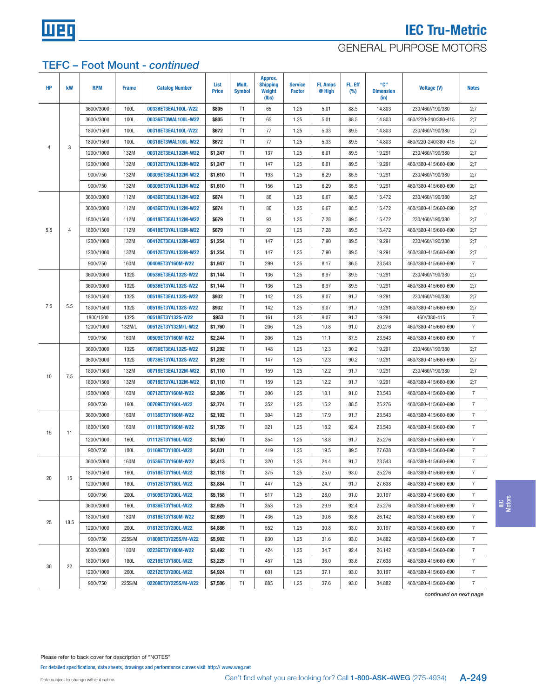

### GENERAL PURPOSE MOTORS

### TEFC – Foot Mount - continued

| <b>HP</b> | kW             | <b>RPM</b> | <b>Frame</b> | <b>Catalog Number</b> | List<br><b>Price</b> | Mult.<br><b>Symbol</b> | Approx.<br><b>Shipping</b><br>Weight<br>(lbs) | <b>Service</b><br><b>Factor</b> | <b>FL Amps</b><br>@ High | FL. Eff<br>$(\%)$ | "C"<br><b>Dimension</b><br>(in) | <b>Voltage (V)</b>   | <b>Notes</b>   |
|-----------|----------------|------------|--------------|-----------------------|----------------------|------------------------|-----------------------------------------------|---------------------------------|--------------------------|-------------------|---------------------------------|----------------------|----------------|
|           |                | 3600//3000 | 100L         | 00336ET3EAL100L-W22   | \$805                | T1                     | 65                                            | 1.25                            | 5.01                     | 88.5              | 14.803                          | 230/460//190/380     | 2;7            |
|           |                | 3600//3000 | 100L         | 00336ET3WAL100L-W22   | \$805                | T1                     | 65                                            | 1.25                            | 5.01                     | 88.5              | 14.803                          | 460//220-240/380-415 | 2;7            |
|           |                | 1800//1500 | 100L         | 00318ET3EAL100L-W22   | \$672                | T <sub>1</sub>         | 77                                            | 1.25                            | 5.33                     | 89.5              | 14.803                          | 230/460//190/380     | 2;7            |
|           |                | 1800//1500 | 100L         | 00318ET3WAL100L-W22   | \$672                | T <sub>1</sub>         | 77                                            | 1.25                            | 5.33                     | 89.5              | 14.803                          | 460//220-240/380-415 | 2;7            |
| 4         | 3              | 1200//1000 | 132M         | 00312ET3EAL132M-W22   | \$1,247              | T <sub>1</sub>         | 137                                           | 1.25                            | 6.01                     | 89.5              | 19.291                          | 230/460//190/380     | 2;7            |
|           |                | 1200//1000 | 132M         | 00312ET3YAL132M-W22   | \$1,247              | T <sub>1</sub>         | 147                                           | 1.25                            | 6.01                     | 89.5              | 19.291                          | 460//380-415/660-690 | 2;7            |
|           |                | 900//750   | 132M         | 00309ET3EAL132M-W22   | \$1,610              | T1                     | 193                                           | 1.25                            | 6.29                     | 85.5              | 19.291                          | 230/460//190/380     | 2;7            |
|           |                | 900//750   | 132M         | 00309ET3YAL132M-W22   | \$1,610              | T <sub>1</sub>         | 156                                           | 1.25                            | 6.29                     | 85.5              | 19.291                          | 460//380-415/660-690 | 2;7            |
|           |                | 3600//3000 | 112M         | 00436ET3EAL112M-W22   | \$874                | T <sub>1</sub>         | 86                                            | 1.25                            | 6.67                     | 88.5              | 15.472                          | 230/460//190/380     | 2;7            |
|           |                | 3600//3000 | 112M         | 00436ET3YAL112M-W22   | \$874                | T <sub>1</sub>         | 86                                            | 1.25                            | 6.67                     | 88.5              | 15.472                          | 460//380-415/660-690 | 2;7            |
|           |                | 1800//1500 | 112M         | 00418ET3EAL112M-W22   | \$679                | T1                     | 93                                            | 1.25                            | 7.28                     | 89.5              | 15.472                          | 230/460//190/380     | 2;7            |
| 5.5       | $\overline{4}$ | 1800//1500 | 112M         | 00418ET3YAL112M-W22   | \$679                | T <sub>1</sub>         | 93                                            | 1.25                            | 7.28                     | 89.5              | 15.472                          | 460//380-415/660-690 | 2;7            |
|           |                | 1200//1000 | 132M         | 00412ET3EAL132M-W22   | \$1,254              | T1                     | 147                                           | 1.25                            | 7.90                     | 89.5              | 19.291                          | 230/460//190/380     | 2;7            |
|           |                | 1200//1000 | 132M         | 00412ET3YAL132M-W22   | \$1,254              | T <sub>1</sub>         | 147                                           | 1.25                            | 7.90                     | 89.5              | 19.291                          | 460//380-415/660-690 | 2;7            |
|           |                | 900//750   | 160M         | 00409ET3Y160M-W22     | \$1,947              | T <sub>1</sub>         | 299                                           | 1.25                            | 8.17                     | 86.5              | 23.543                          | 460//380-415/660-690 | $\overline{7}$ |
|           |                | 3600//3000 | <b>132S</b>  | 00536ET3EAL132S-W22   | \$1,144              | T1                     | 136                                           | 1.25                            | 8.97                     | 89.5              | 19.291                          | 230/460//190/380     | 2;7            |
|           |                | 3600//3000 | <b>132S</b>  | 00536ET3YAL132S-W22   | \$1,144              | T1                     | 136                                           | 1.25                            | 8.97                     | 89.5              | 19.291                          | 460//380-415/660-690 | 2;7            |
|           |                | 1800//1500 | <b>132S</b>  | 00518ET3EAL132S-W22   | \$932                | T <sub>1</sub>         | 142                                           | 1.25                            | 9.07                     | 91.7              | 19.291                          | 230/460//190/380     | 2;7            |
| 7.5       | 5.5            | 1800//1500 | <b>132S</b>  | 00518ET3YAL132S-W22   | \$932                | T <sub>1</sub>         | 142                                           | 1.25                            | 9.07                     | 91.7              | 19.291                          | 460//380-415/660-690 | 2;7            |
|           |                | 1800/1500  | <b>132S</b>  | 00518ET3Y132S-W22     | \$953                | T1                     | 161                                           | 1.25                            | 9.07                     | 91.7              | 19.291                          | 460//380-415         | $\overline{7}$ |
|           |                | 1200//1000 | 132M/L       | 00512ET3Y132M/L-W22   | \$1,760              | T <sub>1</sub>         | 206                                           | 1.25                            | 10.8                     | 91.0              | 20.276                          | 460//380-415/660-690 | $\overline{7}$ |
|           |                | 900//750   | 160M         | 00509ET3Y160M-W22     | \$2,244              | T <sub>1</sub>         | 306                                           | 1.25                            | 11.1                     | 87.5              | 23.543                          | 460//380-415/660-690 | $\overline{7}$ |
|           |                | 3600//3000 | <b>132S</b>  | 00736ET3EAL132S-W22   | \$1,292              | T1                     | 148                                           | 1.25                            | 12.3                     | 90.2              | 19.291                          | 230/460//190/380     | 2;7            |
|           |                | 3600//3000 | <b>132S</b>  | 00736ET3YAL132S-W22   | \$1,292              | T1                     | 147                                           | 1.25                            | 12.3                     | 90.2              | 19.291                          | 460//380-415/660-690 | 2;7            |
| 10        | 7.5            | 1800//1500 | 132M         | 00718ET3EAL132M-W22   | \$1,110              | T1                     | 159                                           | 1.25                            | 12.2                     | 91.7              | 19.291                          | 230/460//190/380     | 2;7            |
|           |                | 1800//1500 | 132M         | 00718ET3YAL132M-W22   | \$1,110              | T1                     | 159                                           | 1.25                            | 12.2                     | 91.7              | 19.291                          | 460//380-415/660-690 | 2;7            |
|           |                | 1200//1000 | 160M         | 00712ET3Y160M-W22     | \$2,306              | T <sub>1</sub>         | 306                                           | 1.25                            | 13.1                     | 91.0              | 23.543                          | 460//380-415/660-690 | $\overline{7}$ |
|           |                | 900//750   | 160L         | 00709ET3Y160L-W22     | \$2,774              | T1                     | 352                                           | 1.25                            | 15.2                     | 88.5              | 25.276                          | 460//380-415/660-690 | $\overline{7}$ |
|           |                | 3600//3000 | 160M         | 01136ET3Y160M-W22     | \$2,102              | T1                     | 304                                           | 1.25                            | 17.9                     | 91.7              | 23.543                          | 460//380-415/660-690 | $\overline{7}$ |
| 15        | 11             | 1800//1500 | 160M         | 01118ET3Y160M-W22     | \$1,726              | T <sub>1</sub>         | 321                                           | 1.25                            | 18.2                     | 92.4              | 23.543                          | 460//380-415/660-690 | $\overline{7}$ |
|           |                | 1200//1000 | 160L         | 01112ET3Y160L-W22     | \$3,160              | T <sub>1</sub>         | 354                                           | 1.25                            | 18.8                     | 91.7              | 25.276                          | 460//380-415/660-690 | $\overline{7}$ |
|           |                | 900//750   | 180L         | 01109ET3Y180L-W22     | \$4,031              | T1                     | 419                                           | 1.25                            | 19.5                     | 89.5              | 27.638                          | 460//380-415/660-690 | $\overline{7}$ |
|           |                | 3600//3000 | 160M         | 01536ET3Y160M-W22     | \$2,413              | T <sub>1</sub>         | 320                                           | 1.25                            | 24.4                     | 91.7              | 23.543                          | 460//380-415/660-690 | $\overline{7}$ |
|           |                | 1800//1500 | 160L         | 01518ET3Y160L-W22     | \$2,118              | T <sub>1</sub>         | 375                                           | 1.25                            | 25.0                     | 93.0              | 25.276                          | 460//380-415/660-690 | $\overline{7}$ |
| 20        | 15             | 1200//1000 | 180L         | 01512ET3Y180L-W22     | \$3,884              | T1                     | 447                                           | 1.25                            | 24.7                     | 91.7              | 27.638                          | 460//380-415/660-690 | $\overline{7}$ |
|           |                | 900//750   | 200L         | 01509ET3Y200L-W22     | \$5,158              | T1                     | 517                                           | 1.25                            | 28.0                     | 91.0              | 30.197                          | 460//380-415/660-690 | 7              |
|           |                | 3600//3000 | 160L         | 01836ET3Y160L-W22     | \$2,925              | T1                     | 353                                           | 1.25                            | 29.9                     | 92.4              | 25.276                          | 460//380-415/660-690 | $\overline{7}$ |
|           |                | 1800//1500 | 180M         | 01818ET3Y180M-W22     | \$2,689              | T1                     | 436                                           | 1.25                            | 30.6                     | 93.6              | 26.142                          | 460//380-415/660-690 | 7              |
| 25        | 18.5           | 1200//1000 | 200L         | 01812ET3Y200L-W22     | \$4,886              | T1                     | 552                                           | 1.25                            | 30.8                     | 93.0              | 30.197                          | 460//380-415/660-690 | $\overline{7}$ |
|           |                | 900//750   | 225S/M       | 01809ET3Y225S/M-W22   | \$5,902              | T <sub>1</sub>         | 830                                           | 1.25                            | 31.6                     | 93.0              | 34.882                          | 460//380-415/660-690 | 7              |
|           |                | 3600//3000 | 180M         | 02236ET3Y180M-W22     | \$3,492              | T <sub>1</sub>         | 424                                           | 1.25                            | 34.7                     | 92.4              | 26.142                          | 460//380-415/660-690 | 7              |
|           |                | 1800//1500 | 180L         | 02218ET3Y180L-W22     | \$3,225              | T <sub>1</sub>         | 457                                           | 1.25                            | 36.0                     | 93.6              | 27.638                          | 460//380-415/660-690 | $\overline{7}$ |
| 30        | 22             | 1200//1000 | 200L         | 02212ET3Y200L-W22     | \$4,924              | T <sub>1</sub>         | 601                                           | 1.25                            | 37.1                     | 93.0              | 30.197                          | 460//380-415/660-690 | $\overline{7}$ |
|           |                | 900//750   | 225S/M       | 02209ET3Y225S/M-W22   | \$7,506              | T1                     | 885                                           | 1.25                            | 37.6                     | 93.0              | 34.882                          | 460//380-415/660-690 | $\overline{7}$ |

IEC Motors

continued on next page

Please refer to back cover for description of "NOTES"

For detailed specifications, data sheets, drawings and performance curves visit http:// www.weg.net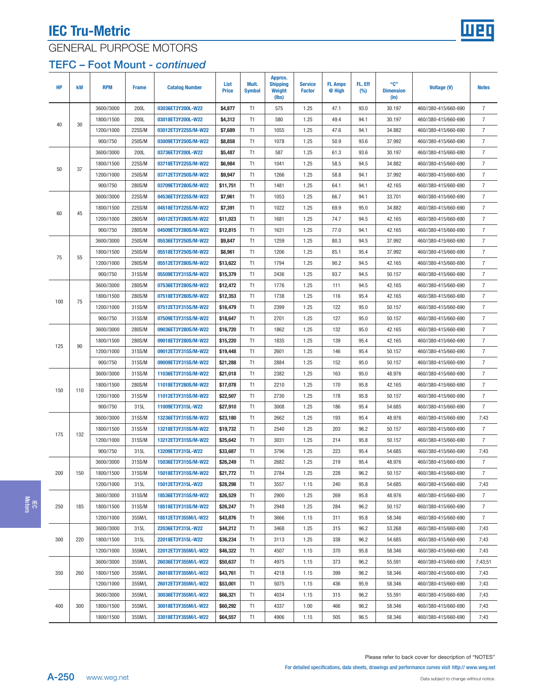

# GENERAL PURPOSE MOTORS

### TEFC – Foot Mount - continued

| <b>HP</b> | kW  | <b>RPM</b> | <b>Frame</b> | <b>Catalog Number</b> | List<br><b>Price</b> | Mult.<br><b>Symbol</b> | Approx.<br><b>Shipping</b><br>Weight<br>(lbs) | <b>Service</b><br><b>Factor</b> | <b>FL Amps</b><br>@ High | FL. Eff<br>$(\%)$ | "C"<br><b>Dimension</b><br>(in) | <b>Voltage (V)</b>   | <b>Notes</b>   |
|-----------|-----|------------|--------------|-----------------------|----------------------|------------------------|-----------------------------------------------|---------------------------------|--------------------------|-------------------|---------------------------------|----------------------|----------------|
|           |     | 3600//3000 | 200L         | 03036ET3Y200L-W22     | \$4,877              | T1                     | 575                                           | 1.25                            | 47.1                     | 93.0              | 30.197                          | 460//380-415/660-690 | $\overline{7}$ |
| 40        | 30  | 1800//1500 | 200L         | 03018ET3Y200L-W22     | \$4,312              | T1                     | 580                                           | 1.25                            | 49.4                     | 94.1              | 30.197                          | 460//380-415/660-690 | $\overline{7}$ |
|           |     | 1200//1000 | 225S/M       | 03012ET3Y225S/M-W22   | \$7,689              | T1                     | 1055                                          | 1.25                            | 47.6                     | 94.1              | 34.882                          | 460//380-415/660-690 | $\overline{7}$ |
|           |     | 900//750   | 250S/M       | 03009ET3Y250S/M-W22   | \$8,858              | T1                     | 1078                                          | 1.25                            | 50.9                     | 93.6              | 37.992                          | 460//380-415/660-690 | $\overline{7}$ |
|           |     | 3600//3000 | 200L         | 03736ET3Y200L-W22     | \$5,487              | T1                     | 587                                           | 1.25                            | 61.3                     | 93.6              | 30.197                          | 460//380-415/660-690 | $\overline{7}$ |
|           |     | 1800//1500 | 225S/M       | 03718ET3Y225S/M-W22   | \$6,984              | T1                     | 1041                                          | 1.25                            | 58.5                     | 94.5              | 34.882                          | 460//380-415/660-690 | $\overline{7}$ |
| 50        | 37  | 1200//1000 | 250S/M       | 03712ET3Y250S/M-W22   | \$9,947              | T1                     | 1266                                          | 1.25                            | 58.8                     | 94.1              | 37.992                          | 460//380-415/660-690 | $\overline{7}$ |
|           |     | 900//750   | 280S/M       | 03709ET3Y280S/M-W22   | \$11,751             | T1                     | 1481                                          | 1.25                            | 64.1                     | 94.1              | 42.165                          | 460//380-415/660-690 | $\overline{7}$ |
|           |     | 3600//3000 | 225S/M       | 04536ET3Y225S/M-W22   | \$7,961              | T1                     | 1053                                          | 1.25                            | 66.7                     | 94.1              | 33.701                          | 460//380-415/660-690 | $\overline{7}$ |
|           |     | 1800//1500 | 225S/M       | 04518ET3Y225S/M-W22   | \$7,391              | T1                     | 1022                                          | 1.25                            | 69.9                     | 95.0              | 34.882                          | 460//380-415/660-690 | $\overline{7}$ |
| 60        | 45  | 1200//1000 | 280S/M       | 04512ET3Y280S/M-W22   | \$11,023             | T1                     | 1681                                          | 1.25                            | 74.7                     | 94.5              | 42.165                          | 460//380-415/660-690 | 7              |
|           |     | 900//750   | 280S/M       | 04509ET3Y280S/M-W22   | \$12,815             | T1                     | 1631                                          | 1.25                            | 77.0                     | 94.1              | 42.165                          | 460//380-415/660-690 | 7              |
|           |     | 3600//3000 | 250S/M       | 05536ET3Y250S/M-W22   | \$9,847              | T1                     | 1259                                          | 1.25                            | 80.3                     | 94.5              | 37.992                          | 460//380-415/660-690 | $\overline{7}$ |
|           |     | 1800//1500 | 250S/M       | 05518ET3Y250S/M-W22   | \$8,961              | T1                     | 1206                                          | 1.25                            | 85.1                     | 95.4              | 37.992                          | 460//380-415/660-690 | $\overline{7}$ |
| 75        | 55  | 1200//1000 | 280S/M       | 05512ET3Y280S/M-W22   | \$13,622             | T1                     | 1794                                          | 1.25                            | 90.2                     | 94.5              | 42.165                          | 460//380-415/660-690 | $\overline{7}$ |
|           |     | 900//750   | 315S/M       | 05509ET3Y315S/M-W22   | \$15,379             | T1                     | 2436                                          | 1.25                            | 93.7                     | 94.5              | 50.157                          | 460//380-415/660-690 | $\overline{7}$ |
|           |     | 3600//3000 | 280S/M       | 07536ET3Y280S/M-W22   | \$12,472             | T1                     | 1776                                          | 1.25                            | 111                      | 94.5              | 42.165                          | 460//380-415/660-690 | $\overline{7}$ |
|           |     | 1800//1500 | 280S/M       | 07518ET3Y280S/M-W22   | \$12,353             | T1                     | 1738                                          | 1.25                            | 116                      | 95.4              | 42.165                          | 460//380-415/660-690 | $\overline{7}$ |
| 100       | 75  | 1200//1000 | 315S/M       | 07512ET3Y315S/M-W22   | \$16,479             | T1                     | 2399                                          | 1.25                            | 122                      | 95.0              | 50.157                          | 460//380-415/660-690 | $\overline{7}$ |
|           |     | 900//750   | 315S/M       | 07509ET3Y315S/M-W22   | \$18,647             | T1                     | 2701                                          | 1.25                            | 127                      | 95.0              | 50.157                          | 460//380-415/660-690 | $\overline{7}$ |
|           |     | 3600//3000 | 280S/M       | 09036ET3Y280S/M-W22   | \$16,720             | T1                     | 1862                                          | 1.25                            | 132                      | 95.0              | 42.165                          | 460//380-415/660-690 | $\overline{7}$ |
|           |     | 1800//1500 | 280S/M       | 09018ET3Y280S/M-W22   | \$15,220             | T1                     | 1835                                          | 1.25                            | 139                      | 95.4              | 42.165                          | 460//380-415/660-690 | $\overline{7}$ |
| 125       | 90  | 1200//1000 | 315S/M       | 09012ET3Y315S/M-W22   | \$19,448             | T1                     | 2601                                          | 1.25                            | 146                      | 95.4              | 50.157                          | 460//380-415/660-690 | $\overline{7}$ |
|           |     | 900//750   | 315S/M       | 09009ET3Y315S/M-W22   | \$21,288             | T1                     | 2884                                          | 1.25                            | 152                      | 95.0              | 50.157                          | 460//380-415/660-690 | $\overline{7}$ |
|           |     | 3600//3000 | 315S/M       | 11036ET3Y315S/M-W22   | \$21,018             | T1                     | 2382                                          | 1.25                            | 163                      | 95.0              | 48.976                          | 460//380-415/660-690 | $\overline{7}$ |
|           |     | 1800//1500 | 280S/M       | 11018ET3Y280S/M-W22   | \$17,078             | T1                     | 2210                                          | 1.25                            | 170                      | 95.8              | 42.165                          | 460//380-415/660-690 | $\overline{7}$ |
| 150       | 110 | 1200//1000 | 315S/M       | 11012ET3Y315S/M-W22   | \$22,507             | T1                     | 2730                                          | 1.25                            | 178                      | 95.8              | 50.157                          | 460//380-415/660-690 | $\overline{7}$ |
|           |     | 900//750   | 315L         | 11009ET3Y315L-W22     | \$27,910             | T1                     | 3008                                          | 1.25                            | 186                      | 95.4              | 54.685                          | 460//380-415/660-690 | $\overline{7}$ |
|           |     | 3600//3000 | 315S/M       | 13236ET3Y315S/M-W22   | \$23,180             | T1                     | 2662                                          | 1.25                            | 193                      | 95.4              | 48.976                          | 460//380-415/660-690 | 7;43           |
|           |     | 1800//1500 | 315S/M       | 13218ET3Y315S/M-W22   | \$19,732             | T1                     | 2540                                          | 1.25                            | 203                      | 96.2              | 50.157                          | 460//380-415/660-690 | $\overline{7}$ |
| 175       | 132 | 1200//1000 | 315S/M       | 13212ET3Y315S/M-W22   | \$25,642             | T1                     | 3031                                          | 1.25                            | 214                      | 95.8              | 50.157                          | 460//380-415/660-690 | $\overline{7}$ |
|           |     | 900//750   | 315L         | 13209ET3Y315L-W22     | \$33,687             | T1                     | 3796                                          | 1.25                            | 223                      | 95.4              | 54.685                          | 460//380-415/660-690 | 7;43           |
|           |     | 3600//3000 | 315S/M       | 15036ET3Y315S/M-W22   | \$26,249             | T1                     | 2682                                          | 1.25                            | 219                      | 95.4              | 48.976                          | 460//380-415/660-690 | 7              |
| 200       | 150 | 1800//1500 | 315S/M       | 15018ET3Y315S/M-W22   | \$21,772             | T1                     | 2784                                          | 1.25                            | 228                      | 96.2              | 50.157                          | 460//380-415/660-690 | 7              |
|           |     | 1200//1000 | 315L         | 15012ET3Y315L-W22     | \$28,298             | T1                     | 3557                                          | 1.15                            | 240                      | 95.8              | 54.685                          | 460//380-415/660-690 | 7;43           |
|           |     | 3600//3000 | 315S/M       | 18536ET3Y315S/M-W22   | \$26,529             | T1                     | 2900                                          | 1.25                            | 269                      | 95.8              | 48.976                          | 460//380-415/660-690 | 7              |
| 250       | 185 | 1800//1500 | 315S/M       | 18518ET3Y315S/M-W22   | \$26,247             | T1                     | 2948                                          | 1.25                            | 284                      | 96.2              | 50.157                          | 460//380-415/660-690 | $\overline{7}$ |
|           |     | 1200//1000 | 355M/L       | 18512ET3Y355M/L-W22   | \$43,876             | T1                     | 3666                                          | 1.15                            | 311                      | 95.8              | 58.346                          | 460//380-415/660-690 | 7              |
|           |     | 3600//3000 | 315L         | 22036ET3Y315L-W22     | \$44,212             | T1                     | 3468                                          | 1.25                            | 315                      | 96.2              | 53.268                          | 460//380-415/660-690 | 7;43           |
| 300       | 220 | 1800//1500 | 315L         | 22018ET3Y315L-W22     | \$36,234             | T1                     | 3113                                          | 1.25                            | 338                      | 96.2              | 54.685                          | 460//380-415/660-690 | 7;43           |
|           |     | 1200//1000 | 355M/L       | 22012ET3Y355M/L-W22   | \$46,322             | T1                     | 4507                                          | 1.15                            | 370                      | 95.8              | 58.346                          | 460//380-415/660-690 | 7;43           |
|           |     | 3600//3000 | 355M/L       | 26036ET3Y355M/L-W22   | \$50,637             | T1                     | 4975                                          | 1.15                            | 373                      | 96.2              | 55.591                          | 460//380-415/660-690 | 7;43;51        |
| 350       | 260 | 1800//1500 | 355M/L       | 26018ET3Y355M/L-W22   | \$43,761             | T1                     | 4218                                          | 1.15                            | 399                      | 96.2              | 58.346                          | 460//380-415/660-690 | 7;43           |
|           |     | 1200//1000 | 355M/L       | 26012ET3Y355M/L-W22   | \$53,001             | T1                     | 5075                                          | 1.15                            | 436                      | 95.9              | 58.346                          | 460//380-415/660-690 | 7;43           |
|           |     | 3600//3000 | 355M/L       | 30036ET3Y355M/L-W22   | \$66,321             | T1                     | 4034                                          | 1.15                            | 315                      | 96.2              | 55.591                          | 460//380-415/660-690 | 7;43           |
| 400       | 300 | 1800//1500 | 355M/L       | 30018ET3Y355M/L-W22   | \$60,292             | T1                     | 4337                                          | 1.00                            | 466                      | 96.2              | 58.346                          | 460//380-415/660-690 | 7;43           |
|           |     | 1800//1500 | 355M/L       | 33018ET3Y355M/L-W22   | \$64,557             | T1                     | 4906                                          | 1.15                            | 505                      | 96.5              | 58.346                          | 460//380-415/660-690 | 7;43           |
|           |     |            |              |                       |                      |                        |                                               |                                 |                          |                   |                                 |                      |                |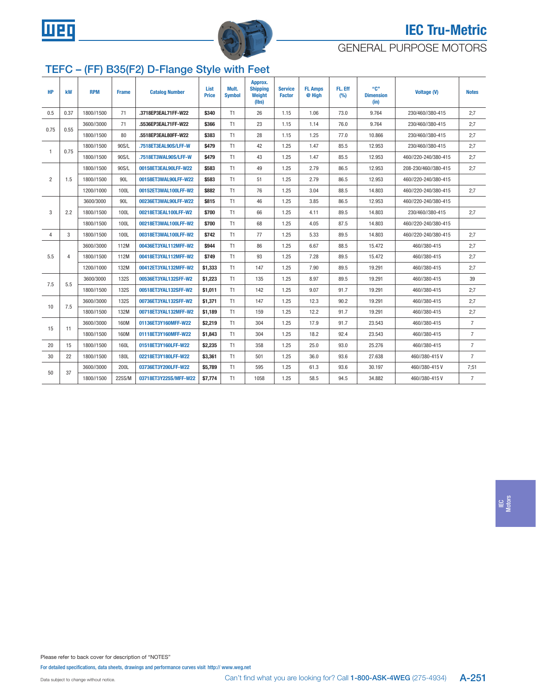<span id="page-6-0"></span>



### GENERAL PURPOSE MOTORS

# TEFC – (FF) B35(F2) D-Flange Style with Feet

| <b>HP</b>      | kW   | <b>RPM</b> | <b>Frame</b> | <b>Catalog Number</b> | List<br><b>Price</b> | Mult.<br><b>Symbol</b> | Approx.<br><b>Shipping</b><br>Weight<br>(Ibs) | <b>Service</b><br><b>Factor</b> | <b>FL Amps</b><br>@ High | FL. Eff<br>(%) | ``C"<br><b>Dimension</b><br>(in) | <b>Voltage (V)</b>   | <b>Notes</b>   |
|----------------|------|------------|--------------|-----------------------|----------------------|------------------------|-----------------------------------------------|---------------------------------|--------------------------|----------------|----------------------------------|----------------------|----------------|
| 0.5            | 0.37 | 1800//1500 | 71           | .3718EP3EAL71FF-W22   | \$340                | T1                     | 26                                            | 1.15                            | 1.06                     | 73.0           | 9.764                            | 230/460//380-415     | 2:7            |
|                |      | 3600//3000 | 71           | .5536EP3EAL71FF-W22   | \$366                | T1                     | 23                                            | 1.15                            | 1.14                     | 76.0           | 9.764                            | 230/460//380-415     | 2:7            |
| 0.75           | 0.55 | 1800//1500 | 80           | .5518EP3EAL80FF-W22   | \$383                | T1                     | 28                                            | 1.15                            | 1.25                     | 77.0           | 10.866                           | 230/460//380-415     | 2;7            |
|                |      | 1800//1500 | 90S/L        | .7518ET3EAL90S/LFF-W  | \$479                | T1                     | 42                                            | 1.25                            | 1.47                     | 85.5           | 12.953                           | 230/460//380-415     | 2:7            |
| $\mathbf{1}$   | 0.75 | 1800//1500 | 90S/L        | .7518ET3WAL90S/LFF-W  | \$479                | T1                     | 43                                            | 1.25                            | 1.47                     | 85.5           | 12.953                           | 460//220-240/380-415 | 2:7            |
|                |      | 1800//1500 | 90S/L        | 00158ET3EAL90LFF-W22  | \$583                | T1                     | 49                                            | 1.25                            | 2.79                     | 86.5           | 12.953                           | 208-230/460//380-415 | 2:7            |
| $\overline{2}$ | 1.5  | 1800//1500 | 90L          | 00158ET3WAL90LFF-W22  | \$583                | T1                     | 51                                            | 1.25                            | 2.79                     | 86.5           | 12.953                           | 460//220-240/380-415 |                |
|                |      | 1200//1000 | 100L         | 00152ET3WAL100LFF-W2  | \$882                | T1                     | 76                                            | 1.25                            | 3.04                     | 88.5           | 14.803                           | 460//220-240/380-415 | 2:7            |
|                |      | 3600/3000  | 90L          | 00236ET3WAL90LFF-W22  | \$815                | T1                     | 46                                            | 1.25                            | 3.85                     | 86.5           | 12.953                           | 460//220-240/380-415 |                |
| 3              | 2.2  | 1800//1500 | 100L         | 00218ET3EAL100LFF-W2  | \$700                | T1                     | 66                                            | 1.25                            | 4.11                     | 89.5           | 14.803                           | 230/460//380-415     | 2:7            |
|                |      | 1800//1500 | 100L         | 00218ET3WAL100LFF-W2  | \$700                | T1                     | 68                                            | 1.25                            | 4.05                     | 87.5           | 14.803                           | 460//220-240/380-415 |                |
| $\overline{4}$ | 3    | 1800//1500 | 100L         | 00318ET3WAL100LFF-W2  | \$742                | T1                     | 77                                            | 1.25                            | 5.33                     | 89.5           | 14.803                           | 460//220-240/380-415 | 2:7            |
|                |      | 3600//3000 | 112M         | 00436ET3YAL112MFF-W2  | \$944                | T1                     | 86                                            | 1.25                            | 6.67                     | 88.5           | 15.472                           | 460//380-415         | 2:7            |
| 5.5            | 4    | 1800//1500 | 112M         | 00418ET3YAL112MFF-W2  | \$749                | T1                     | 93                                            | 1.25                            | 7.28                     | 89.5           | 15.472                           | 460//380-415         | 2:7            |
|                |      | 1200//1000 | 132M         | 00412ET3YAL132MFF-W2  | \$1,333              | T1                     | 147                                           | 1.25                            | 7.90                     | 89.5           | 19.291                           | 460//380-415         | 2:7            |
| 7.5            | 5.5  | 3600/3000  | <b>132S</b>  | 00536ET3YAL132SFF-W2  | \$1,223              | T1                     | 135                                           | 1.25                            | 8.97                     | 89.5           | 19.291                           | 460//380-415         | 39             |
|                |      | 1800//1500 | <b>132S</b>  | 00518ET3YAL132SFF-W2  | \$1,011              | T1                     | 142                                           | 1.25                            | 9.07                     | 91.7           | 19.291                           | 460//380-415         | 2:7            |
| 10             | 7.5  | 3600//3000 | <b>132S</b>  | 00736ET3YAL132SFF-W2  | \$1,371              | T1                     | 147                                           | 1.25                            | 12.3                     | 90.2           | 19.291                           | 460//380-415         | 2:7            |
|                |      | 1800//1500 | 132M         | 00718ET3YAL132MFF-W2  | \$1,189              | T1                     | 159                                           | 1.25                            | 12.2                     | 91.7           | 19.291                           | 460//380-415         | 2:7            |
| 15             | 11   | 3600//3000 | 160M         | 01136ET3Y160MFF-W22   | \$2,219              | T1                     | 304                                           | 1.25                            | 17.9                     | 91.7           | 23.543                           | 460//380-415         | $\overline{7}$ |
|                |      | 1800//1500 | 160M         | 01118ET3Y160MFF-W22   | \$1,843              | T1                     | 304                                           | 1.25                            | 18.2                     | 92.4           | 23.543                           | 460//380-415         | $\overline{7}$ |
| 20             | 15   | 1800//1500 | 160L         | 01518ET3Y160LFF-W22   | \$2.235              | T1                     | 358                                           | 1.25                            | 25.0                     | 93.0           | 25.276                           | 460//380-415         | $\overline{7}$ |
| 30             | 22   | 1800//1500 | 180L         | 02218ET3Y180LFF-W22   | \$3,361              | T1                     | 501                                           | 1.25                            | 36.0                     | 93.6           | 27.638                           | 460//380-415V        | $\overline{7}$ |
| 50             |      | 3600//3000 | 200L         | 03736ET3Y200LFF-W22   | \$5,789              | T1                     | 595                                           | 1.25                            | 61.3                     | 93.6           | 30.197                           | 460//380-415V        | 7:51           |
|                | 37   | 1800//1500 | 225S/M       | 03718ET3Y225S/MFF-W22 | \$7,774              | T1                     | 1058                                          | 1.25                            | 58.5                     | 94.5           | 34.882                           | 460//380-415V        | $\overline{7}$ |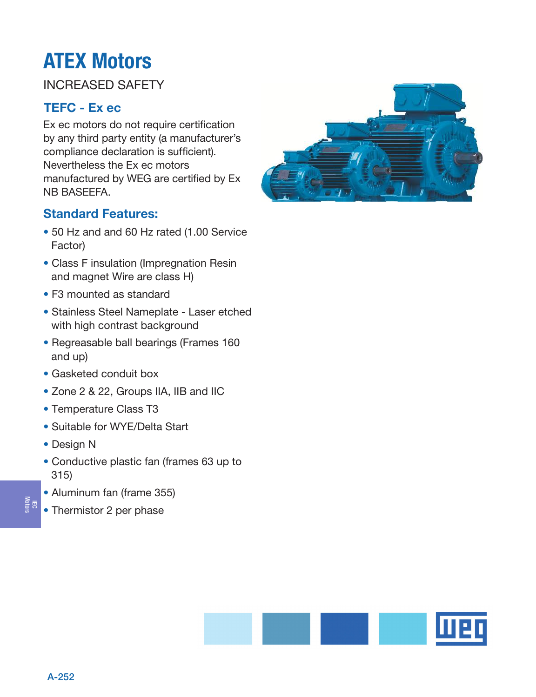# INCREASED SAFETY

# TEFC - Ex ec

Ex ec motors do not require certification by any third party entity (a manufacturer's compliance declaration is sufficient). Nevertheless the Ex ec motors manufactured by WEG are certified by Ex NB BASEEFA.

# Standard Features:

- 50 Hz and and 60 Hz rated (1.00 Service Factor)
- Class F insulation (Impregnation Resin and magnet Wire are class H)
- F3 mounted as standard
- Stainless Steel Nameplate Laser etched with high contrast background
- Regreasable ball bearings (Frames 160 and up)
- Gasketed conduit box
- Zone 2 & 22, Groups IIA, IIB and IIC
- Temperature Class T3
- Suitable for WYE/Delta Start
- Design N

IEC Motors

- Conductive plastic fan (frames 63 up to 315)
- Aluminum fan (frame 355)
- Thermistor 2 per phase



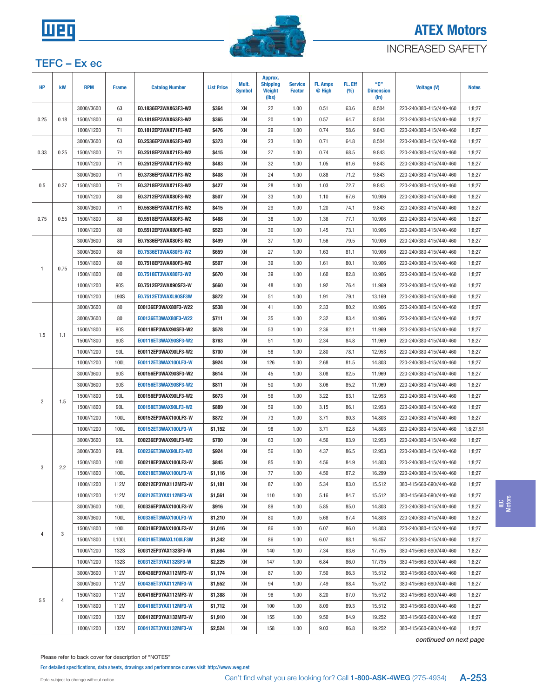<span id="page-8-0"></span>

## INCREASED SAFETY

### TEFC – Ex ec

| <b>HP</b>      | kW   | <b>RPM</b>               | <b>Frame</b>        | <b>Catalog Number</b>                        | <b>List Price</b>  | Mult.<br><b>Symbol</b> | Approx.<br><b>Shipping</b><br><b>Weight</b><br>(lbs) | <b>Service</b><br><b>Factor</b> | <b>FL Amps</b><br>@ High | FL. Eff<br>(%) | "C"<br><b>Dimension</b><br>(in) | <b>Voltage (V)</b>                                   | <b>Notes</b>     |
|----------------|------|--------------------------|---------------------|----------------------------------------------|--------------------|------------------------|------------------------------------------------------|---------------------------------|--------------------------|----------------|---------------------------------|------------------------------------------------------|------------------|
|                |      | 3000//3600               | 63                  | E0.1836EP3WAX63F3-W2                         | \$364              | XN                     | 22                                                   | 1.00                            | 0.51                     | 63.6           | 8.504                           | 220-240/380-415//440-460                             | 1;8;27           |
| 0.25           | 0.18 | 1500//1800               | 63                  | E0.1818EP3WAX63F3-W2                         | \$365              | XN                     | 20                                                   | 1.00                            | 0.57                     | 64.7           | 8.504                           | 220-240/380-415//440-460                             | 1;8;27           |
|                |      | 1000//1200               | 71                  | E0.1812EP3WAX71F3-W2                         | \$476              | XN                     | 29                                                   | 1.00                            | 0.74                     | 58.6           | 9.843                           | 220-240/380-415//440-460                             | 1;8;27           |
|                |      | 3000//3600               | 63                  | E0.2536EP3WAX63F3-W2                         | \$373              | XN                     | 23                                                   | 1.00                            | 0.71                     | 64.8           | 8.504                           | 220-240/380-415//440-460                             | 1;8;27           |
| 0.33           | 0.25 | 1500//1800               | 71                  | E0.2518EP3WAX71F3-W2                         | \$415              | XN                     | 27                                                   | 1.00                            | 0.74                     | 68.5           | 9.843                           | 220-240/380-415//440-460                             | 1;8;27           |
|                |      | 1000//1200               | 71                  | E0.2512EP3WAX71F3-W2                         | \$483              | XN                     | 32                                                   | 1.00                            | 1.05                     | 61.6           | 9.843                           | 220-240/380-415//440-460                             | 1;8;27           |
|                |      | 3000//3600               | 71                  | E0.3736EP3WAX71F3-W2                         | \$408              | XN                     | 24                                                   | 1.00                            | 0.88                     | 71.2           | 9.843                           | 220-240/380-415//440-460                             | 1;8;27           |
| 0.5            | 0.37 | 1500//1800               | 71                  | E0.3718EP3WAX71F3-W2                         | \$427              | XN                     | 28                                                   | 1.00                            | 1.03                     | 72.7           | 9.843                           | 220-240/380-415//440-460                             | 1;8;27           |
|                |      | 1000//1200               | 80                  | E0.3712EP3WAX80F3-W2                         | \$507              | XN                     | 33                                                   | 1.00                            | 1.10                     | 67.6           | 10.906                          | 220-240/380-415//440-460                             | 1;8;27           |
|                |      | 3000//3600               | 71                  | E0.5536EP3WAX71F3-W2                         | \$415              | XN                     | 29                                                   | 1.00                            | 1.20                     | 74.1           | 9.843                           | 220-240/380-415//440-460                             | 1;8;27           |
| 0.75           | 0.55 | 1500//1800               | 80                  | E0.5518EP3WAX80F3-W2                         | \$488              | XN                     | 38                                                   | 1.00                            | 1.36                     | 77.1           | 10.906                          | 220-240/380-415//440-460                             | 1;8;27           |
|                |      | 1000//1200               | 80                  | E0.5512EP3WAX80F3-W2                         | \$523              | XN                     | 36                                                   | 1.00                            | 1.45                     | 73.1           | 10.906                          | 220-240/380-415//440-460                             | 1;8;27           |
|                |      | 3000//3600               | 80                  | E0.7536EP3WAX80F3-W2                         | \$499              | XN                     | 37                                                   | 1.00                            | 1.56                     | 79.5           | 10.906                          | 220-240/380-415//440-460                             | 1;8;27           |
|                |      | 3000//3600               | 80                  | E0.7536ET3WAX80F3-W2                         | \$659              | XN                     | 27                                                   | 1.00                            | 1.63                     | 81.1           | 10.906                          | 220-240/380-415//440-460                             | 1;8;27           |
|                |      | 1500//1800               | 80                  | E0.7518EP3WAX80F3-W2                         | \$507              | XN                     | 39                                                   | 1.00                            | 1.61                     | 80.1           | 10.906                          | 220-240/380-415//440-460                             | 1;8;27           |
| $\mathbf{1}$   | 0.75 | 1500//1800               | 80                  | E0.7518ET3WAX80F3-W2                         | \$670              | XN                     | 39                                                   | 1.00                            | 1.60                     | 82.8           | 10.906                          | 220-240/380-415//440-460                             | 1;8;27           |
|                |      | 1000//1200               | 90S                 | E0.7512EP3WAX90SF3-W                         | \$660              | XN                     | 48                                                   | 1.00                            | 1.92                     | 76.4           | 11.969                          | 220-240/380-415//440-460                             | 1;8;27           |
|                |      | 1000//1200               | <b>L90S</b>         | E0.7512ET3WAXL90SF3W                         | \$872              | XN                     | 51                                                   | 1.00                            | 1.91                     | 79.1           | 13.169                          | 220-240/380-415//440-460                             | 1;8;27           |
|                |      | 3000//3600               | 80                  | E00136EP3WAX80F3-W22                         | \$538              | XN                     | 41                                                   | 1.00                            | 2.33                     | 80.2           | 10.906                          | 220-240/380-415//440-460                             | 1;8;27           |
|                |      | 3000//3600               | 80                  | E00136ET3WAX80F3-W22                         | \$711              | XN                     | 35                                                   | 1.00                            | 2.32                     | 83.4           | 10.906                          | 220-240/380-415//440-460                             | 1;8;27           |
|                |      | 1500//1800               | 90S                 | E00118EP3WAX90SF3-W2                         | \$578              | XN                     | 53                                                   | 1.00                            | 2.36                     | 82.1           | 11.969                          | 220-240/380-415//440-460                             | 1;8;27           |
| 1.5            | 1.1  | 1500//1800               | 90S                 | E00118ET3WAX90SF3-W2                         | \$763              | XN                     | 51                                                   | 1.00                            | 2.34                     | 84.8           | 11.969                          | 220-240/380-415//440-460                             | 1;8;27           |
|                |      | 1000//1200               | 90L                 | E00112EP3WAX90LF3-W2                         | \$700              | XN                     | 58                                                   | 1.00                            | 2.80                     | 78.1           | 12.953                          | 220-240/380-415//440-460                             | 1;8;27           |
|                |      | 1000//1200               | 100L                | E00112ET3WAX100LF3-W                         | \$924              | XN                     | 126                                                  | 1.00                            | 2.68                     | 81.5           | 14.803                          | 220-240/380-415//440-460                             | 1;8;27           |
|                |      | 3000//3600               | 90S                 | E00156EP3WAX90SF3-W2                         | \$614              | XN                     | 45                                                   | 1.00                            | 3.08                     | 82.5           | 11.969                          | 220-240/380-415//440-460                             | 1;8;27           |
|                |      | 3000//3600               | 90S                 | E00156ET3WAX90SF3-W2                         | \$811              | XN                     | 50                                                   | 1.00                            | 3.06                     | 85.2           | 11.969                          | 220-240/380-415//440-460                             | 1;8;27           |
|                |      | 1500//1800               | 90L                 | E00158EP3WAX90LF3-W2                         | \$673              | XN                     | 56                                                   | 1.00                            | 3.22                     | 83.1           | 12.953                          | 220-240/380-415//440-460                             | 1;8;27           |
| $\overline{2}$ | 1.5  | 1500//1800               | 90L                 | E00158ET3WAX90LF3-W2                         | \$889              | XN                     | 59                                                   | 1.00                            | 3.15                     | 86.1           | 12.953                          | 220-240/380-415//440-460                             | 1;8;27           |
|                |      | 1000//1200               | 100L                | E00152EP3WAX100LF3-W                         | \$872              | XN                     | 73                                                   | 1.00                            | 3.71                     | 80.3           | 14.803                          | 220-240/380-415//440-460                             | 1;8;27           |
|                |      | 1000//1200               | 100L                | E00152ET3WAX100LF3-W                         | \$1,152            | XN                     | 98                                                   | 1.00                            | 3.71                     | 82.8           | 14.803                          | 220-240/380-415//440-460                             | 1;8;27,51        |
|                |      | 3000//3600               | 90L                 | E00236EP3WAX90LF3-W2                         | \$700              | XN                     | 63                                                   | 1.00                            | 4.56                     | 83.9           | 12.953                          | 220-240/380-415//440-460                             | 1;8;27           |
|                |      | 3000//3600               | 90L                 | E00236ET3WAX90LF3-W2                         | \$924              | XN                     | 56                                                   | 1.00                            | 4.37                     | 86.5           | 12.953                          | 220-240/380-415//440-460                             | 1;8;27           |
|                |      | 1500//1800               | 100L                | E00218EP3WAX100LF3-W                         | \$845              | XN                     | 85                                                   | 1.00                            | 4.56                     | 84.9           | 14.803                          | 220-240/380-415//440-460                             | 1;8;27           |
| 3              | 2.2  | 1500//1800               | 100L                | E00218ET3WAX100LF3-W                         | \$1,116            | XN                     | 77                                                   | 1.00                            | 4.50                     | 87.2           | 16.299                          | 220-240/380-415//440-460                             | 1:8:27           |
|                |      | 1000//1200               | 112M                | E00212EP3YAX112MF3-W                         | \$1,181            | XN                     | 87                                                   | 1.00                            | 5.34                     | 83.0           | 15.512                          | 380-415/660-690//440-460                             | 1;8;27           |
|                |      | 1000//1200               | 112M                | E00212ET3YAX112MF3-W                         | \$1,561            | XN                     | 110                                                  | 1.00                            | 5.16                     | 84.7           | 15.512                          | 380-415/660-690//440-460                             | 1;8;27           |
|                |      | 3000//3600               | 100L                | E00336EP3WAX100LF3-W                         | \$916              | XN                     | 89                                                   | 1.00                            | 5.85                     | 85.0           | 14.803                          | 220-240/380-415//440-460                             | 1;8;27           |
|                |      | 3000//3600               | 100L                | E00336ET3WAX100LF3-W                         | \$1,210            | XN                     | 80                                                   | 1.00                            | 5.68                     | 87.4           | 14.803                          | 220-240/380-415//440-460                             | 1;8;27           |
|                |      | 1500//1800               | 100L                | E00318EP3WAX100LF3-W                         | \$1,016            | XN                     | 86                                                   | 1.00                            | 6.07                     | 86.0           | 14.803                          | 220-240/380-415//440-460                             | 1;8;27           |
| 4              | 3    | 1500//1800               | L100L               | E00318ET3WAXL100LF3W                         | \$1,342            | XN                     | 86                                                   | 1.00                            | 6.07                     | 88.1           | 16.457                          | 220-240/380-415//440-460                             | 1;8;27           |
|                |      | 1000//1200               | <b>132S</b>         | E00312EP3YAX132SF3-W                         | \$1,684            | XN                     | 140                                                  | 1.00                            | 7.34                     | 83.6           | 17.795                          | 380-415/660-690//440-460                             | 1;8;27           |
|                |      |                          |                     |                                              |                    |                        |                                                      |                                 |                          |                |                                 |                                                      |                  |
|                |      | 1000//1200<br>3000//3600 | <b>132S</b><br>112M | E00312ET3YAX132SF3-W<br>E00436EP3YAX112MF3-W | \$2,225<br>\$1,174 | XN<br>XN               | 147<br>87                                            | 1.00<br>1.00                    | 6.84<br>7.50             | 86.0<br>86.3   | 17.795<br>15.512                | 380-415/660-690//440-460<br>380-415/660-690//440-460 | 1;8;27<br>1;8;27 |
|                |      | 3000//3600               | 112M                | E00436ET3YAX112MF3-W                         | \$1,552            | XN                     | 94                                                   | 1.00                            | 7.49                     | 88.4           | 15.512                          | 380-415/660-690//440-460                             | 1;8;27           |
|                |      |                          |                     |                                              |                    | XN                     | 96                                                   |                                 |                          | 87.0           |                                 |                                                      |                  |
| 5.5            | 4    | 1500//1800               | 112M                | E00418EP3YAX112MF3-W                         | \$1,388            |                        |                                                      | 1.00                            | 8.20                     |                | 15.512                          | 380-415/660-690//440-460                             | 1;8;27           |
|                |      | 1500//1800               | 112M<br>132M        | E00418ET3YAX112MF3-W                         | \$1,712            | XN<br>XN               | 100<br>155                                           | 1.00<br>1.00                    | 8.09<br>9.50             | 89.3<br>84.9   | 15.512<br>19.252                | 380-415/660-690//440-460                             | 1;8;27           |
|                |      | 1000//1200<br>1000//1200 | 132M                | E00412EP3YAX132MF3-W<br>E00412ET3YAX132MF3-W | \$1,910<br>\$2,524 | XN                     | 158                                                  | 1.00                            | 9.03                     | 86.8           | 19.252                          | 380-415/660-690//440-460<br>380-415/660-690//440-460 | 1;8;27<br>1;8;27 |
|                |      |                          |                     |                                              |                    |                        |                                                      |                                 |                          |                |                                 |                                                      |                  |

continued on next page

Please refer to back cover for description of "NOTES"

For detailed specifications, data sheets, drawings and performance curves visit http://www.weg.net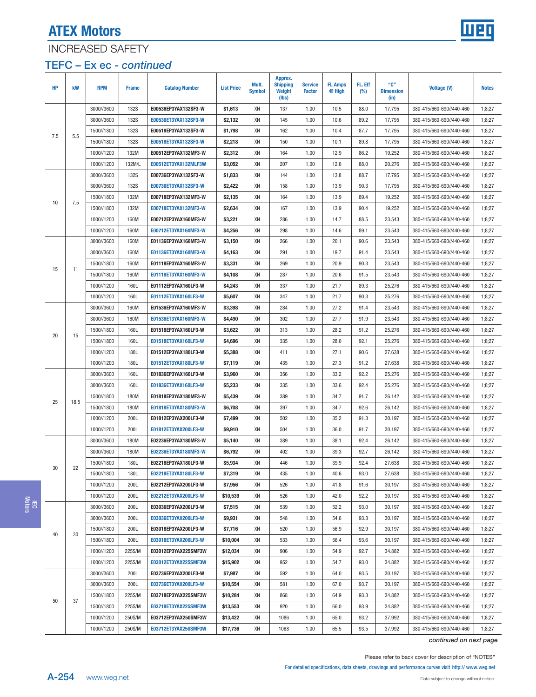

## INCREASED SAFETY

### TEFC – Ex ec - continued

| <b>HP</b> | kW       | <b>RPM</b> | <b>Frame</b> | <b>Catalog Number</b> | <b>List Price</b> | Mult.<br><b>Symbol</b> | Approx.<br><b>Shipping</b><br><b>Weight</b><br>(lbs) | <b>Service</b><br><b>Factor</b> | <b>FL Amps</b><br>@ High | FL. Eff<br>(%) | "C"<br><b>Dimension</b><br>(in) | <b>Voltage (V)</b>       | <b>Notes</b> |
|-----------|----------|------------|--------------|-----------------------|-------------------|------------------------|------------------------------------------------------|---------------------------------|--------------------------|----------------|---------------------------------|--------------------------|--------------|
|           |          | 3000//3600 | <b>132S</b>  | E00536EP3YAX132SF3-W  | \$1,613           | XN                     | 137                                                  | 1.00                            | 10.5                     | 88.0           | 17.795                          | 380-415/660-690//440-460 | 1:8:27       |
|           |          | 3000//3600 | 132S         | E00536ET3YAX132SF3-W  | \$2,132           | XN                     | 145                                                  | 1.00                            | 10.6                     | 89.2           | 17.795                          | 380-415/660-690//440-460 | 1;8;27       |
| 7.5       | 5.5      | 1500//1800 | <b>132S</b>  | E00518EP3YAX132SF3-W  | \$1,798           | XN                     | 162                                                  | 1.00                            | 10.4                     | 87.7           | 17.795                          | 380-415/660-690//440-460 | 1;8;27       |
|           |          | 1500//1800 | <b>132S</b>  | E00518ET3YAX132SF3-W  | \$2,218           | XN                     | 150                                                  | 1.00                            | 10.1                     | 89.8           | 17.795                          | 380-415/660-690//440-460 | 1;8;27       |
|           |          | 1000//1200 | 132M         | E00512EP3YAX132MF3-W  | \$2,312           | XN                     | 164                                                  | 1.00                            | 12.9                     | 86.2           | 19.252                          | 380-415/660-690//440-460 | 1;8;27       |
|           |          | 1000//1200 | 132M/L       | E00512ET3YAX132MLF3W  | \$3,052           | XN                     | 207                                                  | 1.00                            | 12.6                     | 88.0           | 20.276                          | 380-415/660-690//440-460 | 1;8;27       |
|           |          | 3000//3600 | <b>132S</b>  | E00736EP3YAX132SF3-W  | \$1,833           | XN                     | 144                                                  | 1.00                            | 13.8                     | 88.7           | 17.795                          | 380-415/660-690//440-460 | 1;8;27       |
|           |          | 3000//3600 | <b>132S</b>  | E00736ET3YAX132SF3-W  | \$2,422           | XN                     | 158                                                  | 1.00                            | 13.9                     | 90.3           | 17.795                          | 380-415/660-690//440-460 | 1;8;27       |
| 10        | 7.5      | 1500//1800 | 132M         | E00718EP3YAX132MF3-W  | \$2,135           | XN                     | 164                                                  | 1.00                            | 13.9                     | 89.4           | 19.252                          | 380-415/660-690//440-460 | 1;8;27       |
|           |          | 1500//1800 | 132M         | E00718ET3YAX132MF3-W  | \$2,634           | XN                     | 167                                                  | 1.00                            | 13.9                     | 90.4           | 19.252                          | 380-415/660-690//440-460 | 1;8;27       |
|           |          | 1000//1200 | 160M         | E00712EP3YAX160MF3-W  | \$3,221           | XN                     | 286                                                  | 1.00                            | 14.7                     | 88.5           | 23.543                          | 380-415/660-690//440-460 | 1;8;27       |
|           |          | 1000//1200 | 160M         | E00712ET3YAX160MF3-W  | \$4,256           | XN                     | 298                                                  | 1.00                            | 14.6                     | 89.1           | 23.543                          | 380-415/660-690//440-460 | 1;8;27       |
|           |          | 3000//3600 | 160M         | E01136EP3YAX160MF3-W  | \$3,150           | XN                     | 266                                                  | 1.00                            | 20.1                     | 90.6           | 23.543                          | 380-415/660-690//440-460 | 1;8;27       |
|           |          | 3000//3600 | 160M         | E01136ET3YAX160MF3-W  | \$4,163           | XN                     | 291                                                  | 1.00                            | 19.7                     | 91.4           | 23.543                          | 380-415/660-690//440-460 | 1;8;27       |
| 15        | 11       | 1500//1800 | 160M         | E01118EP3YAX160MF3-W  | \$3,331           | XN                     | 269                                                  | 1.00                            | 20.9                     | 90.3           | 23.543                          | 380-415/660-690//440-460 | 1;8;27       |
|           |          | 1500//1800 | 160M         | E01118ET3YAX160MF3-W  | \$4,108           | XN                     | 287                                                  | 1.00                            | 20.6                     | 91.5           | 23.543                          | 380-415/660-690//440-460 | 1;8;27       |
|           |          | 1000//1200 | 160L         | E01112EP3YAX160LF3-W  | \$4,243           | XN                     | 337                                                  | 1.00                            | 21.7                     | 89.3           | 25.276                          | 380-415/660-690//440-460 | 1;8;27       |
|           |          | 1000//1200 | 160L         | E01112ET3YAX160LF3-W  | \$5,607           | XN                     | 347                                                  | 1.00                            | 21.7                     | 90.3           | 25.276                          | 380-415/660-690//440-460 | 1;8;27       |
|           |          | 3000//3600 | 160M         | E01536EP3YAX160MF3-W  | \$3,398           | XN                     | 284                                                  | 1.00                            | 27.2                     | 91.4           | 23.543                          | 380-415/660-690//440-460 | 1;8;27       |
|           |          | 3000//3600 | 160M         | E01536ET3YAX160MF3-W  | \$4,490           | XN                     | 302                                                  | 1.00                            | 27.7                     | 91.9           | 23.543                          | 380-415/660-690//440-460 | 1;8;27       |
|           | 20<br>15 | 1500//1800 | 160L         | E01518EP3YAX160LF3-W  | \$3,622           | XN                     | 313                                                  | 1.00                            | 28.2                     | 91.2           | 25.276                          | 380-415/660-690//440-460 | 1;8;27       |
|           |          | 1500//1800 | 160L         | E01518ET3YAX160LF3-W  | \$4,696           | XN                     | 335                                                  | 1.00                            | 28.0                     | 92.1           | 25.276                          | 380-415/660-690//440-460 | 1;8;27       |
|           |          | 1000//1200 | 180L         | E01512EP3YAX180LF3-W  | \$5,388           | XN                     | 411                                                  | 1.00                            | 27.1                     | 90.6           | 27.638                          | 380-415/660-690//440-460 | 1;8;27       |
|           |          | 1000//1200 | 180L         | E01512ET3YAX180LF3-W  | \$7,119           | XN                     | 435                                                  | 1.00                            | 27.3                     | 91.2           | 27.638                          | 380-415/660-690//440-460 | 1;8;27       |
|           |          | 3000//3600 | 160L         | E01836EP3YAX160LF3-W  | \$3,960           | XN                     | 356                                                  | 1.00                            | 33.2                     | 92.2           | 25.276                          | 380-415/660-690//440-460 | 1;8;27       |
|           |          | 3000//3600 | 160L         | E01836ET3YAX160LF3-W  | \$5,233           | XN                     | 335                                                  | 1.00                            | 33.6                     | 92.4           | 25.276                          | 380-415/660-690//440-460 | 1;8;27       |
| 25        | 18.5     | 1500//1800 | 180M         | E01818EP3YAX180MF3-W  | \$5,439           | XN                     | 389                                                  | 1.00                            | 34.7                     | 91.7           | 26.142                          | 380-415/660-690//440-460 | 1;8;27       |
|           |          | 1500//1800 | 180M         | E01818ET3YAX180MF3-W  | \$6,708           | XN                     | 397                                                  | 1.00                            | 34.7                     | 92.6           | 26.142                          | 380-415/660-690//440-460 | 1;8;27       |
|           |          | 1000//1200 | 200L         | E01812EP3YAX200LF3-W  | \$7,499           | XN                     | 502                                                  | 1.00                            | 35.2                     | 91.3           | 30.197                          | 380-415/660-690//440-460 | 1;8;27       |
|           |          | 1000//1200 | 200L         | E01812ET3YAX200LF3-W  | \$9,910           | XN                     | 504                                                  | 1.00                            | 36.0                     | 91.7           | 30.197                          | 380-415/660-690//440-460 | 1;8;27       |
|           |          | 3000//3600 | 180M         | E02236EP3YAX180MF3-W  | \$5,140           | XN                     | 389                                                  | 1.00                            | 38.1                     | 92.4           | 26.142                          | 380-415/660-690//440-460 | 1;8;27       |
|           |          | 3000//3600 | 180M         | E02236ET3YAX180MF3-W  | \$6,792           | XN                     | 402                                                  | 1.00                            | 39.3                     | 92.7           | 26.142                          | 380-415/660-690//440-460 | 1;8;27       |
| 30        | 22       | 1500//1800 | 180L         | E02218EP3YAX180LF3-W  | \$5,934           | XN                     | 446                                                  | 1.00                            | 39.9                     | 92.4           | 27.638                          | 380-415/660-690//440-460 | 1;8;27       |
|           |          | 1500//1800 | 180L         | E02218ET3YAX180LF3-W  | \$7,319           | XN                     | 435                                                  | 1.00                            | 40.6                     | 93.0           | 27.638                          | 380-415/660-690//440-460 | 1;8;27       |
|           |          | 1000//1200 | 200L         | E02212EP3YAX200LF3-W  | \$7,956           | XN                     | 526                                                  | 1.00                            | 41.8                     | 91.6           | 30.197                          | 380-415/660-690//440-460 | 1;8;27       |
|           |          | 1000//1200 | 200L         | E02212ET3YAX200LF3-W  | \$10,539          | XN                     | 526                                                  | 1.00                            | 42.0                     | 92.2           | 30.197                          | 380-415/660-690//440-460 | 1;8;27       |
|           |          | 3000//3600 | 200L         | E03036EP3YAX200LF3-W  | \$7,515           | XN                     | 539                                                  | 1.00                            | 52.2                     | 93.0           | 30.197                          | 380-415/660-690//440-460 | 1;8;27       |
|           |          | 3000//3600 | 200L         | E03036ET3YAX200LF3-W  | \$9,931           | XN                     | 548                                                  | 1.00                            | 54.6                     | 93.3           | 30.197                          | 380-415/660-690//440-460 | 1;8;27       |
|           |          | 1500//1800 | 200L         | E03018EP3YAX200LF3-W  | \$7,716           | XN                     | 520                                                  | 1.00                            | 56.9                     | 92.9           | 30.197                          | 380-415/660-690//440-460 | 1;8;27       |
| 40        | 30       | 1500//1800 | 200L         | E03018ET3YAX200LF3-W  | \$10,004          | XN                     | 533                                                  | 1.00                            | 56.4                     | 93.6           | 30.197                          | 380-415/660-690//440-460 | 1;8;27       |
|           |          | 1000//1200 | 225S/M       | E03012EP3YAX225SMF3W  | \$12,034          | XN                     | 906                                                  | 1.00                            | 54.9                     | 92.7           | 34.882                          | 380-415/660-690//440-460 | 1;8;27       |
|           |          | 1000//1200 | 225S/M       | E03012ET3YAX225SMF3W  | \$15,902          | XN                     | 952                                                  | 1.00                            | 54.7                     | 93.0           | 34.882                          | 380-415/660-690//440-460 | 1;8;27       |
|           |          | 3000//3600 | 200L         | E03736EP3YAX200LF3-W  | \$7,987           | XN                     | 592                                                  | 1.00                            | 64.0                     | 93.5           | 30.197                          | 380-415/660-690//440-460 | 1;8;27       |
|           |          | 3000//3600 | 200L         | E03736ET3YAX200LF3-W  | \$10,554          | XN                     | 581                                                  | 1.00                            | 67.0                     | 93.7           | 30.197                          | 380-415/660-690//440-460 | 1;8;27       |
|           |          | 1500//1800 | 225S/M       | E03718EP3YAX225SMF3W  | \$10,284          | XN                     | 868                                                  | 1.00                            | 64.9                     | 93.3           | 34.882                          | 380-415/660-690//440-460 | 1;8;27       |
|           | 37<br>50 | 1500//1800 | 225S/M       | E03718ET3YAX225SMF3W  | \$13,553          | XN                     | 920                                                  | 1.00                            | 66.0                     | 93.9           | 34.882                          | 380-415/660-690//440-460 | 1;8;27       |
|           |          | 1000//1200 | 250S/M       | E03712EP3YAX250SMF3W  | \$13,422          | XN                     | 1086                                                 | 1.00                            | 65.0                     | 93.2           | 37.992                          | 380-415/660-690//440-460 | 1;8;27       |
|           |          | 1000//1200 | 250S/M       | E03712ET3YAX250SMF3W  | \$17,736          | XN                     | 1068                                                 | 1.00                            | 65.5                     | 93.5           | 37.992                          | 380-415/660-690//440-460 | 1;8;27       |

continued on next page

Please refer to back cover for description of "NOTES"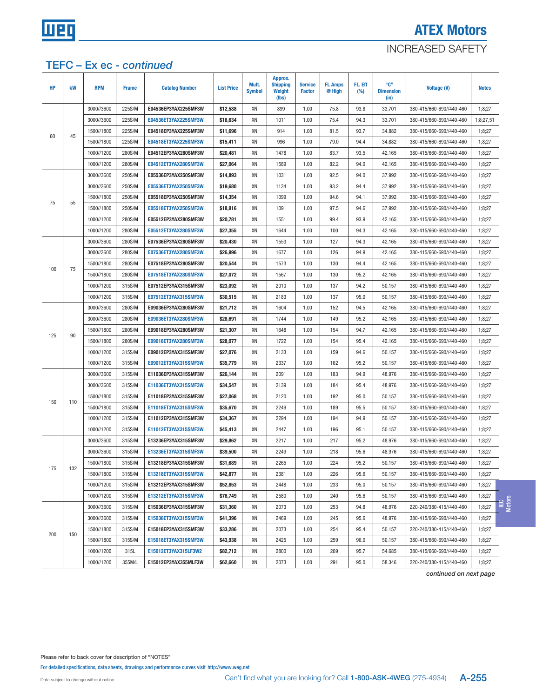

### INCREASED SAFETY

### TEFC – Ex ec - continued

| <b>HP</b> | kW  | <b>RPM</b> | <b>Frame</b> | <b>Catalog Number</b> | <b>List Price</b> | Mult.<br><b>Symbol</b> | Approx.<br><b>Shipping</b><br>Weight<br>(lbs) | <b>Service</b><br><b>Factor</b> | <b>FL Amps</b><br>@ High | FL. Eff<br>(%) | "C"<br><b>Dimension</b><br>(in) | <b>Voltage (V)</b>       | <b>Notes</b> |              |
|-----------|-----|------------|--------------|-----------------------|-------------------|------------------------|-----------------------------------------------|---------------------------------|--------------------------|----------------|---------------------------------|--------------------------|--------------|--------------|
|           |     | 3000//3600 | 225S/M       | E04536EP3YAX225SMF3W  | \$12,588          | XN                     | 899                                           | 1.00                            | 75.8                     | 93.8           | 33.701                          | 380-415/660-690//440-460 | 1;8;27       |              |
|           |     | 3000//3600 | 225S/M       | E04536ET3YAX225SMF3W  | \$16,634          | XN                     | 1011                                          | 1.00                            | 75.4                     | 94.3           | 33.701                          | 380-415/660-690//440-460 | 1;8;27,51    |              |
| 60        |     | 1500//1800 | 225S/M       | E04518EP3YAX225SMF3W  | \$11,696          | XN                     | 914                                           | 1.00                            | 81.5                     | 93.7           | 34.882                          | 380-415/660-690//440-460 | 1;8;27       |              |
|           | 45  | 1500//1800 | 225S/M       | E04518ET3YAX225SMF3W  | \$15,411          | XN                     | 996                                           | 1.00                            | 79.0                     | 94.4           | 34.882                          | 380-415/660-690//440-460 | 1;8;27       |              |
|           |     | 1000//1200 | 280S/M       | E04512EP3YAX280SMF3W  | \$20,481          | XN                     | 1478                                          | 1.00                            | 83.7                     | 93.5           | 42.165                          | 380-415/660-690//440-460 | 1;8;27       |              |
|           |     | 1000//1200 | 280S/M       | E04512ET3YAX280SMF3W  | \$27,064          | XN                     | 1589                                          | 1.00                            | 82.2                     | 94.0           | 42.165                          | 380-415/660-690//440-460 | 1;8;27       |              |
|           |     | 3000//3600 | 250S/M       | E05536EP3YAX250SMF3W  | \$14,893          | XN                     | 1031                                          | 1.00                            | 92.5                     | 94.0           | 37.992                          | 380-415/660-690//440-460 | 1;8;27       |              |
|           |     | 3000//3600 | 250S/M       | E05536ET3YAX250SMF3W  | \$19,680          | XN                     | 1134                                          | 1.00                            | 93.2                     | 94.4           | 37.992                          | 380-415/660-690//440-460 | 1;8;27       |              |
|           |     | 1500//1800 | 250S/M       | E05518EP3YAX250SMF3W  | \$14,354          | XN                     | 1099                                          | 1.00                            | 94.6                     | 94.1           | 37.992                          | 380-415/660-690//440-460 | 1;8;27       |              |
| 75        | 55  | 1500//1800 | 250S/M       | E05518ET3YAX250SMF3W  | \$18,916          | XN                     | 1091                                          | 1.00                            | 97.5                     | 94.6           | 37.992                          | 380-415/660-690//440-460 | 1;8;27       |              |
|           |     | 1000//1200 | 280S/M       | E05512EP3YAX280SMF3W  | \$20,781          | XN                     | 1551                                          | 1.00                            | 99.4                     | 93.9           | 42.165                          | 380-415/660-690//440-460 | 1;8;27       |              |
|           |     | 1000//1200 | 280S/M       | E05512ET3YAX280SMF3W  | \$27,355          | XN                     | 1644                                          | 1.00                            | 100                      | 94.3           | 42.165                          | 380-415/660-690//440-460 | 1;8;27       |              |
|           |     | 3000//3600 | 280S/M       | E07536EP3YAX280SMF3W  | \$20,430          | XN                     | 1553                                          | 1.00                            | 127                      | 94.3           | 42.165                          | 380-415/660-690//440-460 | 1;8;27       |              |
|           |     | 3000//3600 | 280S/M       | E07536ET3YAX280SMF3W  | \$26,996          | XN                     | 1677                                          | 1.00                            | 126                      | 94.9           | 42.165                          | 380-415/660-690//440-460 | 1;8;27       |              |
|           |     | 1500//1800 | 280S/M       | E07518EP3YAX280SMF3W  | \$20,544          | XN                     | 1573                                          | 1.00                            | 130                      | 94.4           | 42.165                          | 380-415/660-690//440-460 | 1;8;27       |              |
| 100       | 75  | 1500//1800 | 280S/M       | E07518ET3YAX280SMF3W  | \$27,072          | XN                     | 1567                                          | 1.00                            | 130                      | 95.2           | 42.165                          | 380-415/660-690//440-460 | 1;8;27       |              |
|           |     | 1000//1200 | 315S/M       | E07512EP3YAX315SMF3W  | \$23,092          | XN                     | 2010                                          | 1.00                            | 137                      | 94.2           | 50.157                          | 380-415/660-690//440-460 | 1;8;27       |              |
|           |     | 1000//1200 | 315S/M       | E07512ET3YAX315SMF3W  | \$30,515          | XN                     | 2183                                          | 1.00                            | 137                      | 95.0           | 50.157                          | 380-415/660-690//440-460 | 1;8;27       |              |
|           |     | 3000//3600 | 280S/M       | E09036EP3YAX280SMF3W  | \$21,712          | XN                     | 1604                                          | 1.00                            | 152                      | 94.5           | 42.165                          | 380-415/660-690//440-460 | 1;8;27       |              |
|           |     | 3000//3600 | 280S/M       | E09036ET3YAX280SMF3W  | \$28,691          | XN                     | 1744                                          | 1.00                            | 149                      | 95.2           | 42.165                          | 380-415/660-690//440-460 | 1;8;27       |              |
|           |     | 1500//1800 | 280S/M       | E09018EP3YAX280SMF3W  | \$21,307          | XN                     | 1648                                          | 1.00                            | 154                      | 94.7           | 42.165                          | 380-415/660-690//440-460 | 1;8;27       |              |
| 125       | 90  | 1500//1800 | 280S/M       | E09018ET3YAX280SMF3W  | \$28,077          | XN                     | 1722                                          | 1.00                            | 154                      | 95.4           | 42.165                          | 380-415/660-690//440-460 | 1;8;27       |              |
|           |     | 1000//1200 | 315S/M       | E09012EP3YAX315SMF3W  | \$27,076          | XN                     | 2133                                          | 1.00                            | 159                      | 94.6           | 50.157                          | 380-415/660-690//440-460 | 1;8;27       |              |
|           |     | 1000//1200 | 315S/M       | E09012ET3YAX315SMF3W  | \$35,779          | XN                     | 2337                                          | 1.00                            | 162                      | 95.2           | 50.157                          | 380-415/660-690//440-460 | 1;8;27       |              |
|           |     | 3000//3600 | 315S/M       | E11036EP3YAX315SMF3W  | \$26,144          | XN                     | 2091                                          | 1.00                            | 183                      | 94.9           | 48.976                          | 380-415/660-690//440-460 | 1;8;27       |              |
|           |     | 3000//3600 | 315S/M       | E11036ET3YAX315SMF3W  | \$34,547          | XN                     | 2139                                          | 1.00                            | 184                      | 95.4           | 48.976                          | 380-415/660-690//440-460 | 1;8;27       |              |
|           |     | 1500//1800 | 315S/M       | E11018EP3YAX315SMF3W  | \$27,068          | XN                     | 2120                                          | 1.00                            | 192                      | 95.0           | 50.157                          | 380-415/660-690//440-460 | 1;8;27       |              |
| 150       | 110 | 1500//1800 | 315S/M       | E11018ET3YAX315SMF3W  | \$35,670          | XN                     | 2249                                          | 1.00                            | 189                      | 95.5           | 50.157                          | 380-415/660-690//440-460 | 1;8;27       |              |
|           |     | 1000//1200 | 315S/M       | E11012EP3YAX315SMF3W  | \$34,367          | XN                     | 2294                                          | 1.00                            | 194                      | 94.9           | 50.157                          | 380-415/660-690//440-460 | 1;8;27       |              |
|           |     | 1000//1200 | 315S/M       | E11012ET3YAX315SMF3W  | \$45,413          | XN                     | 2447                                          | 1.00                            | 196                      | 95.1           | 50.157                          | 380-415/660-690//440-460 | 1;8;27       |              |
|           |     | 3000//3600 | 315S/M       | E13236EP3YAX315SMF3W  | \$29,862          | XN                     | 2217                                          | 1.00                            | 217                      | 95.2           | 48.976                          | 380-415/660-690//440-460 | 1;8;27       |              |
|           |     | 3000//3600 | 315S/M       | E13236ET3YAX315SMF3W  | \$39,500          | XN                     | 2249                                          | 1.00                            | 218                      | 95.6           | 48.976                          | 380-415/660-690//440-460 | 1;8;27       |              |
|           |     | 1500//1800 | 315S/M       | E13218EP3YAX315SMF3W  | \$31,689          | XN                     | 2265                                          | 1.00                            | 224                      | 95.2           | 50.157                          | 380-415/660-690//440-460 | 1;8;27       |              |
| 175       | 132 | 1500//1800 | 315S/M       | E13218ET3YAX315SMF3W  | \$42,877          | XN                     | 2381                                          | 1.00                            | 226                      | 95.6           | 50.157                          | 380-415/660-690//440-460 | 1;8;27       |              |
|           |     | 1000//1200 | 315S/M       | E13212EP3YAX315SMF3W  | \$52,853          | XN                     | 2448                                          | 1.00                            | 233                      | 95.0           | 50.157                          | 380-415/660-690//440-460 | 1;8;27       |              |
|           |     | 1000//1200 | 315S/M       | E13212ET3YAX315SMF3W  | \$76,749          | XN                     | 2580                                          | 1.00                            | 240                      | 95.6           | 50.157                          | 380-415/660-690//440-460 | 1;8;27       |              |
|           |     | 3000//3600 | 315S/M       | E15036EP3YAX315SMF3W  | \$31,360          | XN                     | 2073                                          | 1.00                            | 253                      | 94.8           | 48.976                          | 220-240/380-415//440-460 | 1;8;27       | le e<br>Leto |
|           |     | 3000//3600 | 315S/M       | E15036ET3YAX315SMF3W  | \$41,396          | XN                     | 2469                                          | 1.00                            | 245                      | 95.6           | 48.976                          | 380-415/660-690//440-460 | 1;8;27       |              |
|           |     | 1500//1800 | 315S/M       | E15018EP3YAX315SMF3W  | \$33,286          | XN                     | 2073                                          | 1.00                            | 254                      | 95.4           | 50.157                          | 220-240/380-415//440-460 | 1;8;27       |              |
| 200       | 150 | 1500//1800 | 315S/M       | E15018ET3YAX315SMF3W  | \$43,938          | XN                     | 2425                                          | 1.00                            | 259                      | 96.0           | 50.157                          | 380-415/660-690//440-460 | 1;8;27       |              |
|           |     | 1000//1200 | 315L         | E15012ET3YAX315LF3W2  | \$82,712          | XN                     | 2800                                          | 1.00                            | 269                      | 95.7           | 54.685                          | 380-415/660-690//440-460 | 1;8;27       |              |
|           |     | 1000//1200 | 355M/L       | E15012EP3YAX355MLF3W  | \$62,660          | XN                     | 2073                                          | 1.00                            | 291                      | 95.0           | 58.346                          | 220-240/380-415//440-460 | 1;8;27       |              |

continued on next page

Please refer to back cover for description of "NOTES"

For detailed specifications, data sheets, drawings and performance curves visit http://www.weg.net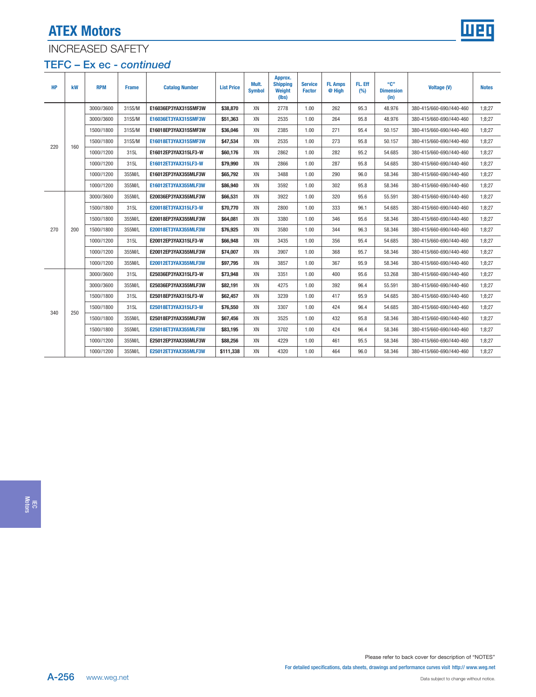

## INCREASED SAFETY

### TEFC – Ex ec - continued

| <b>HP</b> | kW  | <b>RPM</b> | <b>Frame</b> | <b>Catalog Number</b> | <b>List Price</b> | Mult.<br><b>Symbol</b> | Approx.<br><b>Shipping</b><br>Weight<br>(lbs) | <b>Service</b><br><b>Factor</b> | <b>FL Amps</b><br>@ High | FL. Eff<br>(%) | "C"<br><b>Dimension</b><br>(in) | <b>Voltage (V)</b>       | <b>Notes</b> |
|-----------|-----|------------|--------------|-----------------------|-------------------|------------------------|-----------------------------------------------|---------------------------------|--------------------------|----------------|---------------------------------|--------------------------|--------------|
|           |     | 3000//3600 | 315S/M       | E16036EP3YAX315SMF3W  | \$38,870          | XN                     | 2778                                          | 1.00                            | 262                      | 95.3           | 48.976                          | 380-415/660-690//440-460 | 1:8:27       |
|           |     | 3000//3600 | 315S/M       | E16036ET3YAX315SMF3W  | \$51,363          | XN                     | 2535                                          | 1.00                            | 264                      | 95.8           | 48.976                          | 380-415/660-690//440-460 | 1;8;27       |
|           |     | 1500//1800 | 315S/M       | E16018EP3YAX315SMF3W  | \$36,046          | XN                     | 2385                                          | 1.00                            | 271                      | 95.4           | 50.157                          | 380-415/660-690//440-460 | 1:8:27       |
| 220       | 160 | 1500//1800 | 315S/M       | E16018ET3YAX315SMF3W  | \$47,534          | XN                     | 2535                                          | 1.00                            | 273                      | 95.8           | 50.157                          | 380-415/660-690//440-460 | 1;8;27       |
|           |     | 1000//1200 | 315L         | E16012EP3YAX315LF3-W  | \$60,176          | XN                     | 2862                                          | 1.00                            | 282                      | 95.2           | 54.685                          | 380-415/660-690//440-460 | 1:8:27       |
|           |     | 1000//1200 | 315L         | E16012ET3YAX315LF3-W  | \$79,990          | XN                     | 2866                                          | 1.00                            | 287                      | 95.8           | 54.685                          | 380-415/660-690//440-460 | 1:8:27       |
|           |     | 1000//1200 | 355M/L       | E16012EP3YAX355MLF3W  | \$65,792          | XN                     | 3488                                          | 1.00                            | 290                      | 96.0           | 58.346                          | 380-415/660-690//440-460 | 1:8:27       |
|           |     | 1000//1200 | 355M/L       | E16012ET3YAX355MLF3W  | \$86,940          | XN                     | 3592                                          | 1.00                            | 302                      | 95.8           | 58.346                          | 380-415/660-690//440-460 | 1:8:27       |
|           |     | 3000//3600 | 355M/L       | E20036EP3YAX355MLF3W  | \$66,531          | XN                     | 3922                                          | 1.00                            | 320                      | 95.6           | 55.591                          | 380-415/660-690//440-460 | 1:8:27       |
|           |     | 1500//1800 | 315L         | E20018ET3YAX315LF3-W  | \$70,770          | XN                     | 2800                                          | 1.00                            | 333                      | 96.1           | 54.685                          | 380-415/660-690//440-460 | 1;8;27       |
|           |     | 1500//1800 | 355M/L       | E20018EP3YAX355MLF3W  | \$64,081          | XN                     | 3380                                          | 1.00                            | 346                      | 95.6           | 58.346                          | 380-415/660-690//440-460 | 1;8;27       |
| 270       | 200 | 1500//1800 | 355M/L       | E20018ET3YAX355MLF3W  | \$76,925          | XN                     | 3580                                          | 1.00                            | 344                      | 96.3           | 58.346                          | 380-415/660-690//440-460 | 1;8;27       |
|           |     | 1000//1200 | 315L         | E20012EP3YAX315LF3-W  | \$66,948          | XN                     | 3435                                          | 1.00                            | 356                      | 95.4           | 54.685                          | 380-415/660-690//440-460 | 1;8;27       |
|           |     | 1000//1200 | 355M/L       | E20012EP3YAX355MLF3W  | \$74,007          | XN                     | 3907                                          | 1.00                            | 368                      | 95.7           | 58.346                          | 380-415/660-690//440-460 | 1:8:27       |
|           |     | 1000//1200 | 355M/L       | E20012ET3YAX355MLF3W  | \$97,795          | XN                     | 3857                                          | 1.00                            | 367                      | 95.9           | 58.346                          | 380-415/660-690//440-460 | 1;8;27       |
|           |     | 3000//3600 | 315L         | E25036EP3YAX315LF3-W  | \$73,948          | XN                     | 3351                                          | 1.00                            | 400                      | 95.6           | 53.268                          | 380-415/660-690//440-460 | 1;8;27       |
|           |     | 3000//3600 | 355M/L       | E25036EP3YAX355MLF3W  | \$82,191          | XN                     | 4275                                          | 1.00                            | 392                      | 96.4           | 55.591                          | 380-415/660-690//440-460 | 1;8;27       |
|           |     | 1500//1800 | 315L         | E25018EP3YAX315LF3-W  | \$62,457          | XN                     | 3239                                          | 1.00                            | 417                      | 95.9           | 54.685                          | 380-415/660-690//440-460 | 1:8:27       |
| 340       | 250 | 1500//1800 | 315L         | E25018ET3YAX315LF3-W  | \$76,550          | XN                     | 3307                                          | 1.00                            | 424                      | 96.4           | 54.685                          | 380-415/660-690//440-460 | 1:8:27       |
|           |     | 1500//1800 | 355M/L       | E25018EP3YAX355MLF3W  | \$67,456          | XN                     | 3525                                          | 1.00                            | 432                      | 95.8           | 58.346                          | 380-415/660-690//440-460 | 1;8;27       |
|           |     | 1500//1800 | 355M/L       | E25018ET3YAX355MLF3W  | \$83,195          | XN                     | 3702                                          | 1.00                            | 424                      | 96.4           | 58.346                          | 380-415/660-690//440-460 | 1;8;27       |
|           |     | 1000//1200 | 355M/L       | E25012EP3YAX355MLF3W  | \$88,256          | XN                     | 4229                                          | 1.00                            | 461                      | 95.5           | 58.346                          | 380-415/660-690//440-460 | 1:8:27       |
|           |     | 1000//1200 | 355M/L       | E25012ET3YAX355MLF3W  | \$111,338         | XN                     | 4320                                          | 1.00                            | 464                      | 96.0           | 58.346                          | 380-415/660-690//440-460 | 1:8:27       |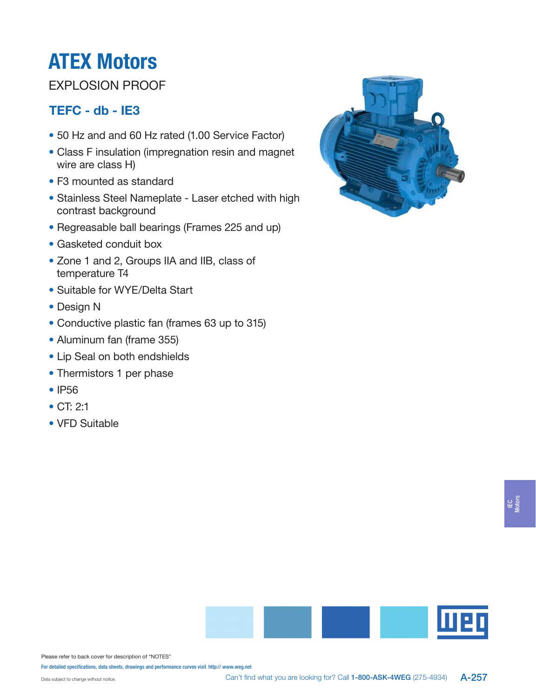# EXPLOSION PROOF

# TEFC - db - IE3

- 50 Hz and and 60 Hz rated (1.00 Service Factor)
- Class F insulation (impregnation resin and magnet wire are class H)
- F3 mounted as standard
- Stainless Steel Nameplate Laser etched with high contrast background
- Regreasable ball bearings (Frames 225 and up)
- Gasketed conduit box
- Zone 1 and 2, Groups IIA and IIB, class of temperature T4
- Suitable for WYE/Delta Start
- Design N
- Conductive plastic fan (frames 63 up to 315)
- Aluminum fan (frame 355)
- Lip Seal on both endshields
- Thermistors 1 per phase
- IP56
- CT: 2:1
- VFD Suitable







Please refer to back cover for description of "NOTES"

For detailed specifications, data sheets, drawings and performance curves visit http:// www.weg.net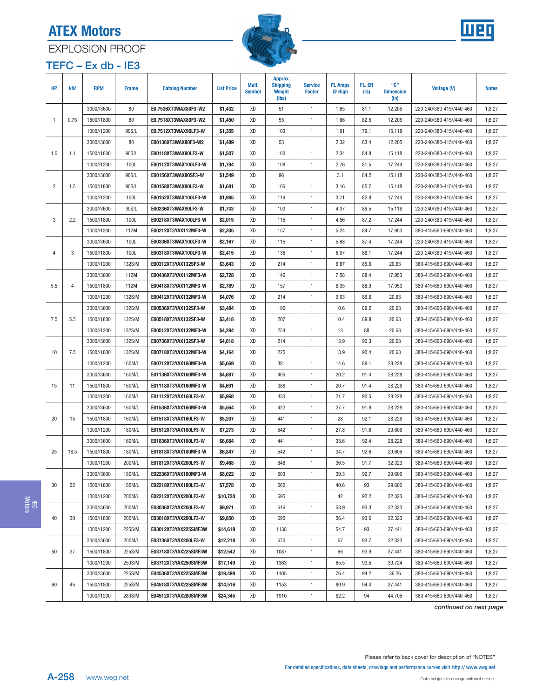⊤





# <span id="page-13-0"></span>EXPLOSION PROOF

| $TEFC - Ex db - IE3$ |  |
|----------------------|--|
|----------------------|--|

т

| <b>HP</b>      | kW             | <b>RPM</b> | <b>Frame</b> | <b>Catalog Number</b> | <b>List Price</b> | Mult.<br><b>Symbol</b> | Approx.<br><b>Shipping</b><br>Weight<br>(lbs) | <b>Service</b><br><b>Factor</b> | <b>FL Amps</b><br>@ High | FL. Eff<br>(%) | "C"<br><b>Dimension</b><br>(in) | <b>Voltage (V)</b>       | <b>Notes</b> |
|----------------|----------------|------------|--------------|-----------------------|-------------------|------------------------|-----------------------------------------------|---------------------------------|--------------------------|----------------|---------------------------------|--------------------------|--------------|
|                |                | 3000//3600 | 80           | E0.7536XT3WAX80F3-W2  | \$1,432           | XD                     | 51                                            | $\mathbf{1}$                    | 1.65                     | 81.1           | 12.205                          | 220-240/380-415//440-460 | 1;8;27       |
| $\mathbf{1}$   | 0.75           | 1500//1800 | 80           | E0.7518XT3WAX80F3-W2  | \$1,450           | XD                     | 55                                            | $\mathbf{1}$                    | 1.66                     | 82.5           | 12.205                          | 220-240/380-415//440-460 | 1;8;27       |
|                |                | 1000//1200 | 90S/L        | E0.7512XT3WAX90LF3-W  | \$1,355           | XD                     | 103                                           | $\mathbf{1}$                    | 1.91                     | 79.1           | 15.118                          | 220-240/380-415//440-460 | 1;8;27       |
|                |                | 3000//3600 | 80           | E00136XT3WAX80F3-W2   | \$1,489           | XD                     | 53                                            | $\mathbf{1}$                    | 2.32                     | 83.4           | 12.205                          | 220-240/380-415//440-460 | 1;8;27       |
| 1.5            | 1.1            | 1500//1800 | 90S/L        | E00118XT3WAX90LF3-W   | \$1,507           | XD                     | 100                                           | $\mathbf{1}$                    | 2.34                     | 84.8           | 15.118                          | 220-240/380-415//440-460 | 1;8;27       |
|                |                | 1000//1200 | 100L         | E00112XT3WAX100LF3-W  | \$1,794           | XD                     | 108                                           | $\mathbf{1}$                    | 2.76                     | 81.5           | 17.244                          | 220-240/380-415//440-460 | 1;8;27       |
|                |                | 3000//3600 | 90S/L        | E00156XT3WAX90SF3-W   | \$1,549           | XD                     | 96                                            | $\mathbf{1}$                    | 3.1                      | 84.2           | 15.118                          | 220-240/380-415//440-460 | 1;8;27       |
| $\overline{2}$ | 1.5            | 1500//1800 | 90S/L        | E00158XT3WAX90LF3-W   | \$1,681           | XD                     | 106                                           | $\mathbf{1}$                    | 3.16                     | 85.7           | 15.118                          | 220-240/380-415//440-460 | 1;8;27       |
|                |                | 1000//1200 | 100L         | E00152XT3WAX100LF3-W  | \$1,985           | XD                     | 119                                           | $\mathbf{1}$                    | 3.71                     | 82.8           | 17.244                          | 220-240/380-415//440-460 | 1;8;27       |
|                |                | 3000//3600 | 90S/L        | E00236XT3WAX90LF3-W   | \$1,733           | XD                     | 103                                           | $\mathbf{1}$                    | 4.37                     | 86.5           | 15.118                          | 220-240/380-415//440-460 | 1;8;27       |
| 3              | 2.2            | 1500//1800 | 100L         | E00218XT3WAX100LF3-W  | \$2,015           | XD                     | 115                                           | $\mathbf{1}$                    | 4.56                     | 87.2           | 17.244                          | 220-240/380-415//440-460 | 1;8;27       |
|                |                | 1000//1200 | 112M         | E00212XT3YAX112MF3-W  | \$2,305           | XD                     | 157                                           | $\mathbf{1}$                    | 5.24                     | 84.7           | 17.953                          | 380-415/660-690//440-460 | 1;8;27       |
|                |                | 3000//3600 | 100L         | E00336XT3WAX100LF3-W  | \$2,167           | XD                     | 115                                           | $\mathbf{1}$                    | 5.68                     | 87.4           | 17.244                          | 220-240/380-415//440-460 | 1;8;27       |
| 4              | 3              | 1500//1800 | 100L         | E00318XT3WAX100LF3-W  | \$2,415           | XD                     | 136                                           | $\mathbf{1}$                    | 6.07                     | 88.1           | 17.244                          | 220-240/380-415//440-460 | 1;8;27       |
|                |                | 1000//1200 | 132S/M       | E00312XT3YAX132SF3-W  | \$3,643           | XD                     | 214                                           | $\mathbf{1}$                    | 6.87                     | 85.6           | 20.63                           | 380-415/660-690//440-460 | 1;8;27       |
|                |                | 3000//3600 | 112M         | E00436XT3YAX112MF3-W  | \$2,728           | XD                     | 146                                           | $\mathbf{1}$                    | 7.58                     | 88.4           | 17.953                          | 380-415/660-690//440-460 | 1;8;27       |
| 5.5            | $\overline{4}$ | 1500//1800 | 112M         | E00418XT3YAX112MF3-W  | \$2,789           | XD                     | 157                                           | $\mathbf{1}$                    | 8.35                     | 88.9           | 17.953                          | 380-415/660-690//440-460 | 1;8;27       |
|                |                | 1000//1200 | 132S/M       | E00412XT3YAX132MF3-W  | \$4,076           | XD                     | 214                                           | $\mathbf{1}$                    | 9.03                     | 86.8           | 20.63                           | 380-415/660-690//440-460 | 1;8;27       |
|                |                | 3000//3600 | 132S/M       | E00536XT3YAX132SF3-W  | \$3,484           | XD                     | 196                                           | $\mathbf{1}$                    | 10.6                     | 89.2           | 20.63                           | 380-415/660-690//440-460 | 1;8;27       |
| 7.5            | 5.5            | 1500//1800 | 132S/M       | E00518XT3YAX132SF3-W  | \$3,418           | XD                     | 207                                           | $\mathbf{1}$                    | 10.4                     | 89.8           | 20.63                           | 380-415/660-690//440-460 | 1;8;27       |
|                |                | 1000//1200 | 132S/M       | E00512XT3YAX132MF3-W  | \$4,294           | XD                     | 254                                           | $\mathbf{1}$                    | 13                       | 88             | 20.63                           | 380-415/660-690//440-460 | 1;8;27       |
|                |                | 3000//3600 | 132S/M       | E00736XT3YAX132SF3-W  | \$4,018           | XD                     | 214                                           | $\mathbf{1}$                    | 13.9                     | 90.3           | 20.63                           | 380-415/660-690//440-460 | 1;8;27       |
| 10             | 7.5            | 1500//1800 | 132S/M       | E00718XT3YAX132MF3-W  | \$4,164           | XD                     | 225                                           | $\mathbf{1}$                    | 13.9                     | 90.4           | 20.63                           | 380-415/660-690//440-460 | 1;8;27       |
|                |                | 1000//1200 | 160M/L       | E00712XT3YAX160MF3-W  | \$5,669           | XD                     | 381                                           | $\mathbf{1}$                    | 14.6                     | 89.1           | 28.228                          | 380-415/660-690//440-460 | 1;8;27       |
|                |                | 3000//3600 | 160M/L       | E01136XT3YAX160MF3-W  | \$4,687           | XD                     | 405                                           | $\mathbf{1}$                    | 20.2                     | 91.4           | 28.228                          | 380-415/660-690//440-460 | 1;8;27       |
| 15             | 11             | 1500//1800 | 160M/L       | E01118XT3YAX160MF3-W  | \$4,691           | XD                     | 388                                           | $\mathbf{1}$                    | 20.7                     | 91.4           | 28.228                          | 380-415/660-690//440-460 | 1;8;27       |
|                |                | 1000//1200 | 160M/L       | E01112XT3YAX160LF3-W  | \$5,968           | XD                     | 430                                           | $\mathbf{1}$                    | 21.7                     | 90.5           | 28.228                          | 380-415/660-690//440-460 | 1;8;27       |
|                |                | 3000//3600 | 160M/L       | E01536XT3YAX160MF3-W  | \$5,564           | XD                     | 422                                           | $\mathbf{1}$                    | 27.7                     | 91.9           | 28.228                          | 380-415/660-690//440-460 | 1;8;27       |
| 20             | 15             | 1500//1800 | 160M/L       | E01518XT3YAX160LF3-W  | \$5,207           | XD                     | 441                                           | $\mathbf{1}$                    | 28                       | 92.1           | 28.228                          | 380-415/660-690//440-460 | 1;8;27       |
|                |                | 1000//1200 | 180M/L       | E01512XT3YAX180LF3-W  | \$7,273           | XD                     | 542                                           | $\mathbf{1}$                    | 27.8                     | 91.6           | 29.606                          | 380-415/660-690//440-460 | 1;8;27       |
|                |                | 3000//3600 | 160M/L       | E01836XT3YAX160LF3-W  | \$6,684           | XD                     | 441                                           | $\mathbf{1}$                    | 33.6                     | 92.4           | 28.228                          | 380-415/660-690//440-460 | 1;8;27       |
| 25             | 18.5           | 1500//1800 | 180M/L       | E01818XT3YAX180MF3-W  | \$6,847           | XD                     | 542                                           | $\mathbf{1}$                    | 34.7                     | 92.6           | 29.606                          | 380-415/660-690//440-460 | 1;8;27       |
|                |                | 1000//1200 | 200M/L       | E01812XT3YAX200LF3-W  | \$9,468           | XD                     | 646                                           | $\mathbf{1}$                    | 36.5                     | 91.7           | 32.323                          | 380-415/660-690//440-460 | 1;8;27       |
|                |                | 3000//3600 | 180M/L       | E02236XT3YAX180MF3-W  | \$8,022           | XD                     | 503                                           | $\mathbf{1}$                    | 39.3                     | 92.7           | 29.606                          | 380-415/660-690//440-460 | 1;8;27       |
| 30             | 22             | 1500//1800 | 180M/L       | E02218XT3YAX180LF3-W  | \$7,578           | XD                     | 562                                           | $\mathbf{1}$                    | 40.6                     | 93             | 29.606                          | 380-415/660-690//440-460 | 1;8;27       |
|                |                | 1000//1200 | 200M/L       | E02212XT3YAX200LF3-W  | \$10,720          | XD                     | 695                                           | $\mathbf{1}$                    | 42                       | 92.2           | 32.323                          | 380-415/660-690//440-460 | 1;8;27       |
|                |                | 3000//3600 | 200M/L       | E03036XT3YAX200LF3-W  | \$9,971           | XD                     | 646                                           | $\mathbf{1}$                    | 53.9                     | 93.3           | 32.323                          | 380-415/660-690//440-460 | 1;8;27       |
| 40             | 30             | 1500//1800 | 200M/L       | E03018XT3YAX200LF3-W  | \$9,850           | XD                     | 695                                           | $\mathbf{1}$                    | 56.4                     | 93.6           | 32.323                          | 380-415/660-690//440-460 | 1;8;27       |
|                |                | 1000//1200 | 225S/M       | E03012XT3YAX225SMF3W  | \$14,618          | XD                     | 1138                                          | $\mathbf{1}$                    | 54.7                     | 93             | 37.441                          | 380-415/660-690//440-460 | 1;8;27       |
|                |                | 3000//3600 | 200M/L       | E03736XT3YAX200LF3-W  | \$12,218          | XD                     | 670                                           | $\mathbf{1}$                    | 67                       | 93.7           | 32.323                          | 380-415/660-690//440-460 | 1;8;27       |
| 50             | 37             | 1500//1800 | 225S/M       | E03718XT3YAX225SMF3W  | \$12,542          | XD                     | 1087                                          | 1                               | 66                       | 93.9           | 37.441                          | 380-415/660-690//440-460 | 1;8;27       |
|                |                | 1000//1200 | 250S/M       | E03712XT3YAX250SMF3W  | \$17,149          | XD                     | 1363                                          | 1                               | 65.5                     | 93.5           | 39.724                          | 380-415/660-690//440-460 | 1;8;27       |
|                |                | 3000//3600 | 225S/M       | E04536XT3YAX225SMF3W  | \$19,498          | XD                     | 1105                                          | $\mathbf{1}$                    | 76.4                     | 94.2           | 36.26                           | 380-415/660-690//440-460 | 1;8;27       |
| 60             | 45             | 1500//1800 | 225S/M       | E04518XT3YAX225SMF3W  | \$14,516          | XD                     | 1153                                          | $\mathbf{1}$                    | 80.9                     | 94.4           | 37.441                          | 380-415/660-690//440-460 | 1;8;27       |
|                |                | 1000//1200 | 280S/M       | E04512XT3YAX280SMF3W  | \$24,345          | XD                     | 1910                                          | $\mathbf{1}$                    | 82.2                     | 94             | 44.705                          | 380-415/660-690//440-460 | 1;8;27       |

continued on next page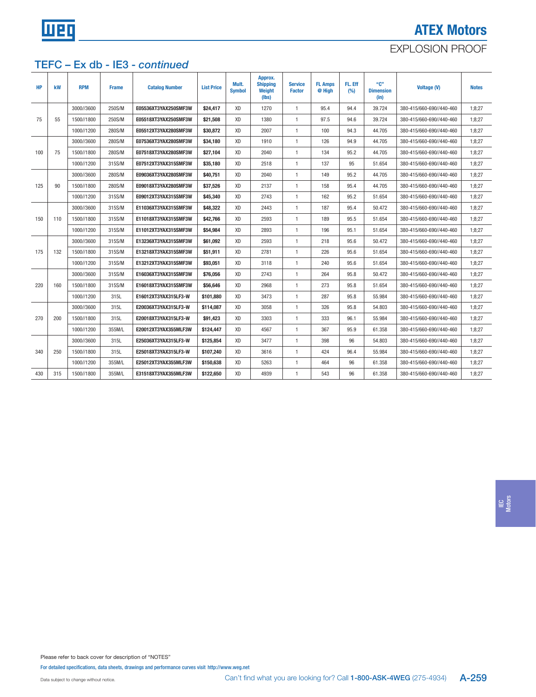

# ATEX Motors EXPLOSION PROOF

### TEFC – Ex db - IE3 - continued

| HP  | kW  | <b>RPM</b> | <b>Frame</b> | <b>Catalog Number</b> | <b>List Price</b> | Mult.<br><b>Symbol</b> | Approx.<br><b>Shipping</b><br>Weight<br>(Ibs) | <b>Service</b><br><b>Factor</b> | <b>FL Amps</b><br>@ High | FL. Eff<br>(%) | "C"<br><b>Dimension</b><br>(in) | Voltage (V)              | <b>Notes</b> |
|-----|-----|------------|--------------|-----------------------|-------------------|------------------------|-----------------------------------------------|---------------------------------|--------------------------|----------------|---------------------------------|--------------------------|--------------|
|     |     | 3000//3600 | 250S/M       | E05536XT3YAX250SMF3W  | \$24,417          | XD                     | 1270                                          | $\mathbf{1}$                    | 95.4                     | 94.4           | 39.724                          | 380-415/660-690//440-460 | 1:8:27       |
| 75  | 55  | 1500//1800 | 250S/M       | E05518XT3YAX250SMF3W  | \$21,508          | XD                     | 1380                                          | $\mathbf{1}$                    | 97.5                     | 94.6           | 39.724                          | 380-415/660-690//440-460 | 1:8:27       |
|     |     | 1000//1200 | 280S/M       | E05512XT3YAX280SMF3W  | \$30,872          | <b>XD</b>              | 2007                                          | $\mathbf{1}$                    | 100                      | 94.3           | 44.705                          | 380-415/660-690//440-460 | 1:8:27       |
|     |     | 3000//3600 | 280S/M       | E07536XT3YAX280SMF3W  | \$34,180          | XD                     | 1910                                          | $\overline{1}$                  | 126                      | 94.9           | 44.705                          | 380-415/660-690//440-460 | 1:8:27       |
| 100 | 75  | 1500//1800 | 280S/M       | E07518XT3YAX280SMF3W  | \$27,104          | XD                     | 2040                                          | $\mathbf{1}$                    | 134                      | 95.2           | 44.705                          | 380-415/660-690//440-460 | 1:8:27       |
|     |     | 1000//1200 | 315S/M       | E07512XT3YAX315SMF3W  | \$35,180          | XD                     | 2518                                          | $\mathbf{1}$                    | 137                      | 95             | 51.654                          | 380-415/660-690//440-460 | 1;8;27       |
|     |     | 3000//3600 | 280S/M       | E09036XT3YAX280SMF3W  | \$40,751          | XD                     | 2040                                          | $\mathbf{1}$                    | 149                      | 95.2           | 44.705                          | 380-415/660-690//440-460 | 1:8:27       |
| 125 | 90  | 1500//1800 | 280S/M       | E09018XT3YAX280SMF3W  | \$37.526          | XD                     | 2137                                          | $\mathbf{1}$                    | 158                      | 95.4           | 44.705                          | 380-415/660-690//440-460 | 1:8:27       |
|     |     | 1000//1200 | 315S/M       | E09012XT3YAX315SMF3W  | \$45,340          | XD                     | 2743                                          | $\overline{1}$                  | 162                      | 95.2           | 51.654                          | 380-415/660-690//440-460 | 1:8:27       |
|     |     | 3000//3600 | 315S/M       | E11036XT3YAX315SMF3W  | \$48,322          | XD                     | 2443                                          | $\mathbf{1}$                    | 187                      | 95.4           | 50.472                          | 380-415/660-690//440-460 | 1:8:27       |
| 150 | 110 | 1500//1800 | 315S/M       | E11018XT3YAX315SMF3W  | \$42,766          | XD                     | 2593                                          | $\mathbf{1}$                    | 189                      | 95.5           | 51.654                          | 380-415/660-690//440-460 | 1:8:27       |
|     |     | 1000//1200 | 315S/M       | E11012XT3YAX315SMF3W  | \$54,984          | XD                     | 2893                                          | $\mathbf{1}$                    | 196                      | 95.1           | 51.654                          | 380-415/660-690//440-460 | 1:8:27       |
|     |     | 3000//3600 | 315S/M       | E13236XT3YAX315SMF3W  | \$61,092          | XD                     | 2593                                          | $\mathbf{1}$                    | 218                      | 95.6           | 50.472                          | 380-415/660-690//440-460 | 1:8:27       |
| 175 | 132 | 1500//1800 | 315S/M       | E13218XT3YAX315SMF3W  | \$51,911          | <b>XD</b>              | 2781                                          | $\overline{1}$                  | 226                      | 95.6           | 51.654                          | 380-415/660-690//440-460 | 1:8:27       |
|     |     | 1000//1200 | 315S/M       | E13212XT3YAX315SMF3W  | \$93,051          | XD                     | 3118                                          | $\mathbf{1}$                    | 240                      | 95.6           | 51.654                          | 380-415/660-690//440-460 | 1:8:27       |
|     |     | 3000//3600 | 315S/M       | E16036XT3YAX315SMF3W  | \$76,056          | XD                     | 2743                                          | $\mathbf{1}$                    | 264                      | 95.8           | 50.472                          | 380-415/660-690//440-460 | 1:8:27       |
| 220 | 160 | 1500//1800 | 315S/M       | E16018XT3YAX315SMF3W  | \$56,646          | XD                     | 2968                                          | $\overline{1}$                  | 273                      | 95.8           | 51.654                          | 380-415/660-690//440-460 | 1:8:27       |
|     |     | 1000//1200 | 315L         | E16012XT3YAX315LF3-W  | \$101,880         | XD                     | 3473                                          | $\mathbf{1}$                    | 287                      | 95.8           | 55.984                          | 380-415/660-690//440-460 | 1:8:27       |
|     |     | 3000//3600 | 315L         | E20036XT3YAX315LF3-W  | \$114,087         | XD                     | 3058                                          | $\mathbf{1}$                    | 326                      | 95.8           | 54.803                          | 380-415/660-690//440-460 | 1:8:27       |
| 270 | 200 | 1500//1800 | 315L         | E20018XT3YAX315LF3-W  | \$91,423          | XD                     | 3303                                          | $\mathbf{1}$                    | 333                      | 96.1           | 55.984                          | 380-415/660-690//440-460 | 1:8:27       |
|     |     | 1000//1200 | 355M/L       | E20012XT3YAX355MLF3W  | \$124,447         | XD                     | 4567                                          | $\mathbf{1}$                    | 367                      | 95.9           | 61.358                          | 380-415/660-690//440-460 | 1:8:27       |
|     |     | 3000//3600 | 315L         | E25036XT3YAX315LF3-W  | \$125,854         | XD                     | 3477                                          | $\mathbf{1}$                    | 398                      | 96             | 54.803                          | 380-415/660-690//440-460 | 1:8:27       |
| 340 | 250 | 1500//1800 | 315L         | E25018XT3YAX315LF3-W  | \$107,240         | XD                     | 3616                                          | $\mathbf{1}$                    | 424                      | 96.4           | 55.984                          | 380-415/660-690//440-460 | 1:8:27       |
|     |     | 1000//1200 | 355M/L       | E25012XT3YAX355MLF3W  | \$150,638         | <b>XD</b>              | 5263                                          | $\mathbf{1}$                    | 464                      | 96             | 61.358                          | 380-415/660-690//440-460 | 1:8:27       |
| 430 | 315 | 1500//1800 | 355M/L       | E31518XT3YAX355MLF3W  | \$122,650         | XD                     | 4939                                          | $\mathbf{1}$                    | 543                      | 96             | 61.358                          | 380-415/660-690//440-460 | 1:8:27       |

IEC Motors